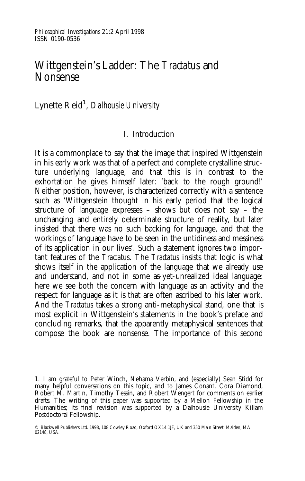# Wittgenstein's Ladder: The *Tractatus* and Nonsense

Lynette Reid<sup>1</sup>, *Dalhousie University* 

# I. Introduction

It is a commonplace to say that the image that inspired Wittgenstein in his early work was that of a perfect and complete crystalline structure underlying language, and that this is in contrast to the exhortation he gives himself later: 'back to the rough ground!' Neither position, however, is characterized correctly with a sentence such as 'Wittgenstein thought in his early period that the logical structure of language expresses – shows but does not say – the unchanging and entirely determinate structure of reality, but later insisted that there was no such backing for language, and that the workings of language have to be seen in the untidiness and messiness of its application in our lives'. Such a statement ignores two important features of the *Tractatus*. The *Tractatus* insists that logic is what shows itself in the application of the language that we already use and understand, and not in some as-yet-unrealized ideal language: here we see both the concern with language as an activity and the respect for language as it is that are often ascribed to his later work. And the *Tractatus* takes a strong anti-metaphysical stand, one that is most explicit in Wittgenstein's statements in the book's preface and concluding remarks, that the apparently metaphysical sentences that compose the book are nonsense. The importance of this second

<sup>1.</sup> I am grateful to Peter Winch, Nehama Verbin, and (especially) Sean Stidd for many helpful conversations on this topic, and to James Conant, Cora Diamond, Robert M. Martin, Timothy Tessin, and Robert Wengert for comments on earlier drafts. The writing of this paper was supported by a Mellon Fellowship in the Humanities; its final revision was supported by a Dalhousie University Killam Postdoctoral Fellowship.

<sup>©</sup> Blackwell Publishers Ltd. 1998, 108 Cowley Road, Oxford OX14 1JF, UK and 350 Main Street, Malden, MA 02148, USA.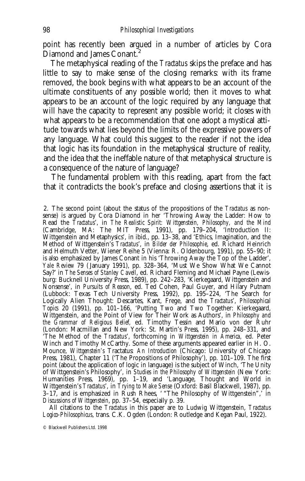point has recently been argued in a number of articles by Cora Diamond and James Conant.<sup>2</sup>

The metaphysical reading of the *Tractatus* skips the preface and has little to say to make sense of the closing remarks: with its frame removed, the book begins with what appears to be an account of the ultimate constituents of any possible world; then it moves to what appears to be an account of the logic required by any language that will have the capacity to represent any possible world; it closes with what appears to be a recommendation that one adopt a mystical attitude towards what lies beyond the limits of the expressive powers of any language. What could this suggest to the reader if not the idea that logic has its foundation in the metaphysical structure of reality, and the idea that the ineffable nature of that metaphysical structure is a consequence of the nature of language?

The fundamental problem with this reading, apart from the fact that it contradicts the book's preface and closing assertions that it is

All citations to the *Tractatus* in this paper are to Ludwig Wittgenstein, *Tractatus Logico-Philosophicus*, trans. C.K. Ogden (London: Routledge and Kegan Paul, 1922).

<sup>2.</sup> The second point (about the status of the propositions of the *Tractatus* as nonsense) is argued by Cora Diamond in her 'Throwing Away the Ladder: How to Read the *Tractatus*', in *The Realistic Spirit: Wittgenstein, Philosophy, and the Mind* (Cambridge, MA: The MIT Press, 1991), pp. 179–204, 'Introduction II: Wittgenstein and Metaphysics', in ibid., pp. 13–38, and 'Ethics, Imagination, and the Method of Wittgenstein's *Tractatus*', in *Bilder der Philosophie*, ed. Richard Heinrich and Helmuth Vetter, Wiener Reihe 5 (Vienna: R. Oldenbourg, 1991), pp. 55–90; it is also emphasized by James Conant in his 'Throwing Away the Top of the Ladder', *Yale Review* 79 ( January 1991), pp. 328–364, 'Must We Show What We Cannot Say?' in *The Senses of Stanley Cavell*, ed. Richard Fleming and Michael Payne (Lewisburg: Bucknell University Press, 1989), pp. 242–283, 'Kierkegaard, Wittgenstein and Nonsense', in *Pursuits of Reason*, ed. Ted Cohen, Paul Guyer, and Hilary Putnam (Lubbock: Texas Tech University Press, 1992), pp. 195–224, 'The Search for Logically Alien Thought: Descartes, Kant, Frege, and the *Tractatus*', *Philosophical Topics* 20 (1991), pp. 101–166, 'Putting Two and Two Together: Kierkegaard, Wittgenstein, and the Point of View for Their Work as Authors', in *Philosophy and the Grammar of Religious Belief,* ed. Timothy Tessin and Mario von der Ruhr (London: Macmillan and New York: St. Martin's Press, 1995), pp. 248–331, and 'The Method of the *Tractatus*', forthcoming in *Wittgenstein in America,* ed. Peter Winch and Timothy McCarthy. Some of these arguments appeared earlier in H. O. Mounce, *Wittgenstein's* Tractatus*: An Introduction* (Chicago: University of Chicago Press, 1981), Chapter 11 ('The Propositions of Philosophy'), pp. 101–109. The first point (about the application of logic in language) is the subject of Winch, 'The Unity of Wittgenstein's Philosophy', in *Studies in the Philosophy of Wittgenstein* (New York: Humanities Press, 1969), pp. 1–19, and 'Language, Thought and World in Wittgenstein's *Tractatus*', in *Trying to Make Sense* (Oxford: Basil Blackwell, 1987), pp. 3–17, and is emphasized in Rush Rhees, ' "The Philosophy of Wittgenstein",' in *Discussions of Wittgenstein*, pp. 37–54, especially p. 39.

<sup>©</sup> Blackwell Publishers Ltd. 1998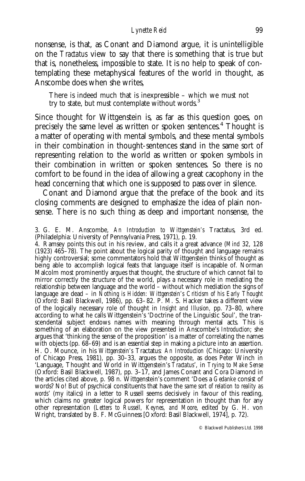nonsense, is that, as Conant and Diamond argue, it is unintelligible on the *Tractatus* view to say that there is something that is true but that is, nonetheless, impossible to state. It is no help to speak of contemplating these metaphysical features of the world in thought, as Anscombe does when she writes,

There is indeed much that is inexpressible – which we must not try to state, but must contemplate without words.<sup>3</sup>

Since thought for Wittgenstein is, as far as this question goes, on precisely the same level as written or spoken sentences.<sup>4</sup> Thought is a matter of operating with mental symbols, and these mental symbols in their combination in thought-sentences stand in the same sort of representing relation to the world as written or spoken symbols in their combination in written or spoken sentences. So there is no comfort to be found in the idea of allowing a great cacophony in the head concerning that which one is supposed to pass over in silence.

Conant and Diamond argue that the preface of the book and its closing comments are designed to emphasize the idea of plain nonsense. There is no such thing as deep and important nonsense, the

4. Ramsey points this out in his review, and calls it a great advance (*Mind* 32, 128 (1923) 465–78). The point about the logical parity of thought and language remains highly controversial; some commentators hold that Wittgenstein thinks of thought as being able to accomplish logical feats that language itself is incapable of. Norman Malcolm most prominently argues that thought, the structure of which cannot fail to mirror correctly the structure of the world, plays a necessary role in mediating the relationship between language and the world – without which mediation the signs of language are dead – in *Nothing is Hidden: Wittgenstein's Criticism of his Early Thought* (Oxford: Basil Blackwell, 1986), pp. 63–82. P. M. S. Hacker takes a different view of the logically necessary role of thought in *Insight and Illusion,* pp. 73–80, where according to what he calls Wittgenstein's 'Doctrine of the Linguistic Soul', the transcendental subject endows names with meaning through mental acts. This is something of an elaboration on the view presented in Anscombe's *Introduction*; she argues that 'thinking the sense of the proposition' is a matter of correlating the names with objects (pp. 68–69) and is an essential step in making a picture into an assertion. H. O. Mounce, in his *Wittgenstein's* Tractatus*: An Introduction* (Chicago: University of Chicago Press, 1981), pp. 30–33, argues the opposite, as does Peter Winch in 'Language, Thought and World in Wittgenstein's *Tractatus*', in *Trying to Make Sense* (Oxford: Basil Blackwell, 1987), pp. 3–17, and James Conant and Cora Diamond in the articles cited above, p. 98 n. Wittgenstein's comment 'Does a *Gedanke* consist of words? No! But of psychical constituents that have the *same sort of relation to reality as words*' (my italics) in a letter to Russell seems decisively in favour of this reading, which claims no greater logical powers for representation in thought than for any other representation (*Letters to Russell, Keynes, and Moore*, edited by G. H. von Wright, translated by B. F. McGuinness [Oxford: Basil Blackwell, 1974], p. 72).

<sup>3.</sup> G. E. M. Anscombe, *An Introduction to Wittgenstein's* Tractatus, 3rd ed. (Philadelphia: University of Pennsylvania Press, 1971), p. 19.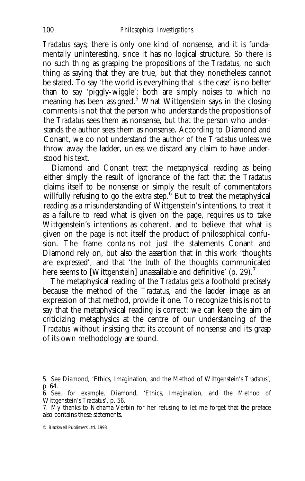*Tractatus* says; there is only one kind of nonsense, and it is fundamentally uninteresting, since it has no logical structure. So there is no such thing as grasping the propositions of the *Tractatus*, no such thing as saying that they are true, but that they nonetheless cannot be stated. To say 'the world is everything that is the case' is no better than to say 'piggly-wiggle': both are simply noises to which no meaning has been assigned.<sup>5</sup> What Wittgenstein says in the closing comments is not that the person who understands the propositions of the *Tractatus* sees them as nonsense, but that the person who understands the author sees them as nonsense. According to Diamond and Conant, we do not understand the author of the *Tractatus* unless we throw away the ladder, unless we discard any claim to have understood his text.

Diamond and Conant treat the metaphysical reading as being either simply the result of ignorance of the fact that the *Tractatus* claims itself to be nonsense or simply the result of commentators willfully refusing to go the extra step.<sup> $6$ </sup> But to treat the metaphysical reading as a misunderstanding of Wittgenstein's intentions, to treat it as a failure to read what is given on the page, requires us to take Wittgenstein's intentions as coherent, and to believe that what is given on the page is not itself the product of philosophical confusion. The frame contains not just the statements Conant and Diamond rely on, but also the assertion that in this work 'thoughts are expressed', and that 'the *truth* of the thoughts communicated here seems to [Wittgenstein] unassailable and definitive' (p. 29).<sup>7</sup>

The metaphysical reading of the *Tractatus* gets a foothold precisely because the method of the *Tractatus*, and the ladder image as an expression of that method, provide it one. To recognize this is not to say that the metaphysical reading is correct: we can keep the aim of criticizing metaphysics at the centre of our understanding of the *Tractatus* without insisting that its account of nonsense and its grasp of its own methodology are sound.

<sup>5.</sup> See Diamond, 'Ethics, Imagination, and the Method of Wittgenstein's *Tractatus*', p. 64.

<sup>6.</sup> See, for example, Diamond, 'Ethics, Imagination, and the Method of Wittgenstein's *Tractatus*', p. 56.

<sup>7.</sup> My thanks to Nehama Verbin for her refusing to let me forget that the preface also contains these statements.

<sup>©</sup> Blackwell Publishers Ltd. 1998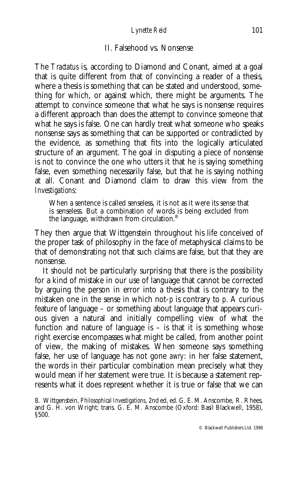#### *Lynette Reid* 101

#### II. Falsehood vs. Nonsense

The *Tractatus* is, according to Diamond and Conant, aimed at a goal that is quite different from that of convincing a reader of a thesis, where a thesis is something that can be stated and understood, something for which, or against which, there might be arguments. The attempt to convince someone that what he says is nonsense requires a different approach than does the attempt to convince someone that what he says is false. One can hardly treat what someone who speaks nonsense says as something that can be supported or contradicted by the evidence, as something that fits into the logically articulated structure of an argument. The goal in disputing a piece of nonsense is not to convince the one who utters it that he is saying something false, even something necessarily false, but that he is saying nothing at all. Conant and Diamond claim to draw this view from the *Investigations*:

When a sentence is called senseless, it is not as it were its sense that is senseless. But a combination of words is being excluded from the language, withdrawn from circulation.<sup>8</sup>

They then argue that Wittgenstein throughout his life conceived of the proper task of philosophy in the face of metaphysical claims to be that of demonstrating not that such claims are false, but that they are nonsense.

It should not be particularly surprising that there is the possibility for a kind of mistake in our use of language that cannot be corrected by arguing the person in error into a thesis that is contrary to the mistaken one in the sense in which not-*p* is contrary to *p*. A curious feature of language – or something about language that appears curious given a natural and initially compelling view of what the function and nature of language is  $-$  is that it is something whose right exercise encompasses what might be called, from another point of view, the making of mistakes. When someone says something false, her use of language has not gone *awry*: in her false statement, the words in their particular combination mean precisely what they would mean if her statement were true. It is because a statement represents what it does represent whether it is true or false that we can

<sup>8.</sup> Wittgenstein, *Philosophical Investigations*, 2nd ed, ed. G. E. M. Anscombe, R. Rhees, and G. H. von Wright; trans. G. E. M. Anscombe (Oxford: Basil Blackwell, 1958), §500.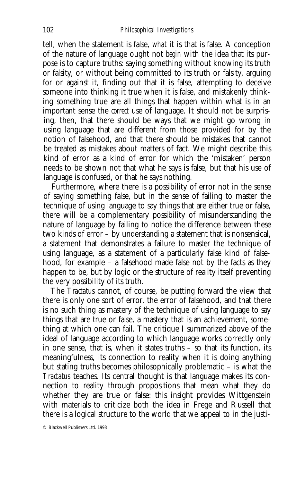tell, when the statement is false, *what* it is that is false. A conception of the nature of language ought not *begin* with the idea that its purpose is to capture truths: saying something without knowing its truth or falsity, or without being committed to its truth or falsity, arguing for or against it, finding out that it is false, attempting to deceive someone into thinking it true when it is false, and mistakenly thinking something true are all things that happen within what is in an important sense the *correct* use of language. It should not be surprising, then, that there should be ways that we might go wrong in using language that are different from those provided for by the notion of falsehood, and that there should be mistakes that cannot be treated as mistakes about matters of fact. We might describe this kind of error as a kind of error for which the 'mistaken' person needs to be shown not that what he says is false, but that his use of language is confused, or that he says nothing.

Furthermore, where there is a possibility of error not in the sense of saying something false, but in the sense of failing to master the technique of using language to say things that are either true or false, there will be a complementary possibility of misunderstanding the nature of language by failing to notice the difference between these two kinds of error – by understanding a statement that is nonsensical, a statement that demonstrates a failure to master the technique of using language, as a statement of a particularly false kind of falsehood, for example – a falsehood made false not by the facts as they happen to be, but by logic or the structure of reality itself preventing the very possibility of its truth.

The *Tractatus* cannot, of course, be putting forward the view that there is only one sort of error, the error of falsehood, and that there is no such thing as mastery of the technique of using language to say things that are true or false, a mastery that is an achievement, something at which one can fail. The critique I summarized above of the ideal of language according to which language works correctly only in one sense, that is, when it states truths – so that its function, its meaningfulness, its connection to reality when it is doing anything but stating truths becomes philosophically problematic – is what the *Tractatus* teaches. Its central thought is that language makes its connection to reality through propositions that mean what they do whether they are true or false: this insight provides Wittgenstein with materials to criticize both the idea in Frege and Russell that there is a logical structure to the world that we appeal to in the justi-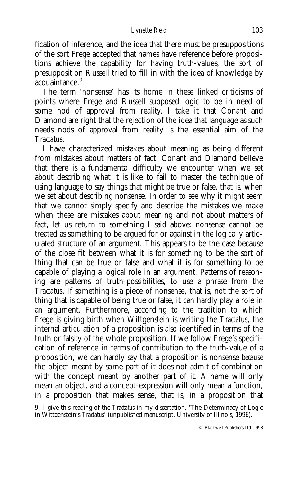fication of inference, and the idea that there must be presuppositions of the sort Frege accepted that names have reference before propositions achieve the capability for having truth-values, the sort of presupposition Russell tried to fill in with the idea of knowledge by acquaintance.<sup>9</sup>

The term 'nonsense' has its home in these linked criticisms of points where Frege and Russell supposed logic to be in need of some nod of approval from reality. I take it that Conant and Diamond are right that the rejection of the idea that language as such needs nods of approval from reality is the essential aim of the *Tractatus*.

I have characterized mistakes about meaning as being different from mistakes about matters of fact. Conant and Diamond believe that there is a fundamental difficulty we encounter when we set about describing what it is like to fail to master the technique of using language to say things that might be true or false, that is, when we set about describing nonsense. In order to see why it might seem that we cannot simply specify and describe the mistakes we make when these are mistakes about meaning and not about matters of fact, let us return to something I said above: nonsense cannot be treated as something to be argued for or against in the logically articulated structure of an argument. This appears to be the case because of the close fit between what it is for something to be the sort of thing that can be true or false and what it is for something to be capable of playing a logical role in an argument. Patterns of reasoning are patterns of truth-possibilities, to use a phrase from the *Tractatus*. If something is a piece of nonsense, that is, not the sort of thing that is capable of being true or false, it can hardly play a role in an argument. Furthermore, according to the tradition to which Frege is giving birth when Wittgenstein is writing the *Tractatus*, the internal articulation of a proposition is also identified in terms of the truth or falsity of the whole proposition. If we follow Frege's specification of reference in terms of contribution to the truth-value of a proposition, we can hardly say that a proposition is nonsense *because* the object meant by some part of it does not admit of combination with the concept meant by another part of it. A name will only mean an object, and a concept-expression will only mean a function, in a proposition that makes sense, that is, in a proposition that

9. I give this reading of the *Tractatus* in my dissertation, 'The Determinacy of Logic in Wittgenstein's *Tractatus*' (unpublished manuscript, University of Illinois, 1996).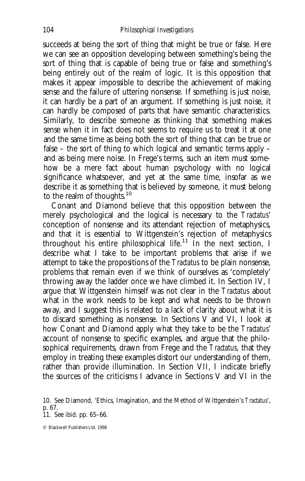succeeds at being the sort of thing that might be true or false. Here we can see an opposition developing between something's being the sort of thing that is capable of being true or false and something's being entirely out of the realm of logic. It is this opposition that makes it appear impossible to describe the achievement of making sense and the failure of uttering nonsense. If something is just noise, it can hardly be a part of an argument. If something is just noise, it can hardly be composed of parts that have semantic characteristics. Similarly, to describe someone as thinking that something makes sense when it in fact does not seems to require us to treat it at one and the same time as being both the sort of thing that can be true or false – the sort of thing to which logical and semantic terms apply – and as being mere noise. In Frege's terms, such an item must somehow be a mere fact about human psychology with no logical significance whatsoever, and yet at the same time, insofar as we describe it as something that is believed by someone, it must belong to the realm of thoughts.<sup>10</sup>

Conant and Diamond believe that this opposition between the merely psychological and the logical is necessary to the *Tractatus*' conception of nonsense and its attendant rejection of metaphysics, and that it is essential to Wittgenstein's rejection of metaphysics throughout his entire philosophical life.<sup>11</sup> In the next section, I describe what I take to be important problems that arise if we attempt to take the propositions of the *Tractatus* to be plain nonsense, problems that remain even if we think of ourselves as 'completely' throwing away the ladder once we have climbed it. In Section IV, I argue that Wittgenstein himself was not clear in the *Tractatus* about what in the work needs to be kept and what needs to be thrown away, and I suggest this is related to a lack of clarity about what it is to discard something as nonsense. In Sections V and VI, I look at how Conant and Diamond apply what they take to be the *Tractatus*' account of nonsense to specific examples, and argue that the philosophical requirements, drawn from Frege and the *Tractatus*, that they employ in treating these examples distort our understanding of them, rather than provide illumination. In Section VII, I indicate briefly the sources of the criticisms I advance in Sections V and VI in the

<sup>10.</sup> See Diamond, 'Ethics, Imagination, and the Method of Wittgenstein's *Tractatus*', p. 67. 11. See ibid. pp. 65–66.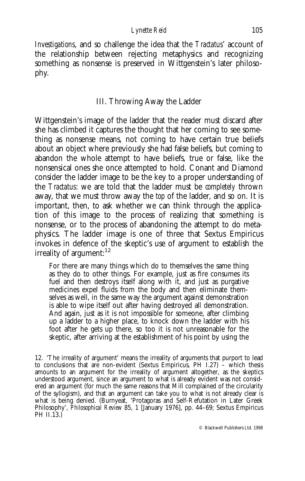*Investigations*, and so challenge the idea that the *Tractatus*' account of the relationship between rejecting metaphysics and recognizing something as nonsense is preserved in Wittgenstein's later philosophy.

## III. Throwing Away the Ladder

Wittgenstein's image of the ladder that the reader must discard after she has climbed it captures the thought that her coming to see something as nonsense means, not coming to have certain true beliefs about an object where previously she had false beliefs, but coming to abandon the whole attempt to have beliefs, true or false, like the nonsensical ones she once attempted to hold. Conant and Diamond consider the ladder image to be the key to a proper understanding of the *Tractatus*: we are told that the ladder must be *completely* thrown away, that we must throw away the *top* of the ladder, and so on. It is important, then, to ask whether we can think through the application of this image to the process of realizing that something is nonsense, or to the process of abandoning the attempt to do metaphysics. The ladder image is one of three that Sextus Empiricus invokes in defence of the skeptic's use of argument to establish the irreality of argument:<sup>12</sup>

For there are many things which do to themselves the same thing as they do to other things. For example, just as fire consumes its fuel and then destroys itself along with it, and just as purgative medicines expel fluids from the body and then eliminate themselves as well, in the same way the argument against demonstration is able to wipe itself out after having destroyed all demonstration. And again, just as it is not impossible for someone, after climbing up a ladder to a higher place, to knock down the ladder with his foot after he gets up there, so too it is not unreasonable for the skeptic, after arriving at the establishment of his point by using the

12. 'The irreality of argument' means the irreality of arguments that purport to lead to conclusions that are non-evident (Sextus Empiricus, PH I.27) – which thesis amounts to an argument for the irreality of argument altogether, as the skeptics understood argument, since an argument to what is already evident was not considered an argument (for much the same reasons that Mill complained of the circularity of the syllogism), and that an argument can take you to what is not already clear is what is being denied. (Burnyeat, 'Protagoras and Self-Refutation in Later Greek Philosophy', *Philosophical Review* 85, 1 [January 1976], pp. 44–69; Sextus Empiricus PH II.13.)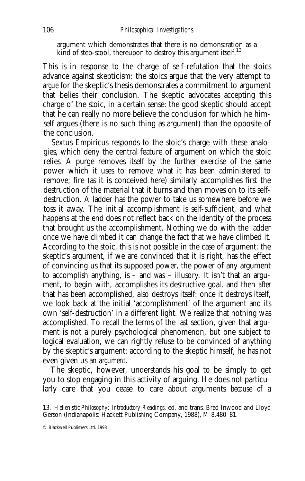argument which demonstrates that there is no demonstration as a kind of step-stool, thereupon to destroy this argument itself. $^{13}$ 

This is in response to the charge of self-refutation that the stoics advance against skepticism: the stoics argue that the very attempt to *argue* for the skeptic's thesis demonstrates a commitment to argument that belies their conclusion. The skeptic advocates accepting this charge of the stoic, in a certain sense: the good skeptic should accept that he can really no more believe the conclusion for which he himself argues (there is no such thing as argument) than the opposite of the conclusion.

Sextus Empiricus responds to the stoic's charge with these analogies, which deny the central feature of argument on which the stoic relies. A purge removes itself by the further exercise of the same power which it uses to remove what it has been administered to remove; fire (as it is conceived here) similarly accomplishes first the destruction of the material that it burns and then moves on to its selfdestruction. A ladder has the power to take us somewhere before we toss it away. The initial accomplishment is self-sufficient, and what happens at the end does not reflect back on the identity of the process that brought us the accomplishment. Nothing we do with the ladder once we have climbed it can change the fact that we have climbed it. According to the stoic, this is not possible in the case of argument: the skeptic's argument, if we are convinced that it is right, has the effect of convincing us that its supposed power, the power of any argument to accomplish anything, is – and *was* – illusory. It isn't that an argument, to begin with, accomplishes its destructive goal, and then *after* that has been accomplished, also destroys itself: once it destroys itself, we look back at the initial 'accomplishment' of the argument and its own 'self-destruction' in a different light. We realize that nothing was accomplished. To recall the terms of the last section, given that argument is not a purely psychological phenomenon, but one subject to logical evaluation, we can rightly refuse to be convinced of anything by the skeptic's argument: according to the skeptic himself, he has not even given us an *argument*.

The skeptic, however, understands his goal to be simply to get you to stop engaging in this activity of arguing. He does not particularly care that you cease to care about arguments *because of* a

13. *Hellenistic Philosophy: Introductory Readings*, ed. and trans. Brad Inwood and Lloyd Gerson (Indianapolis: Hackett Publishing Company, 1988), M 8.480-81.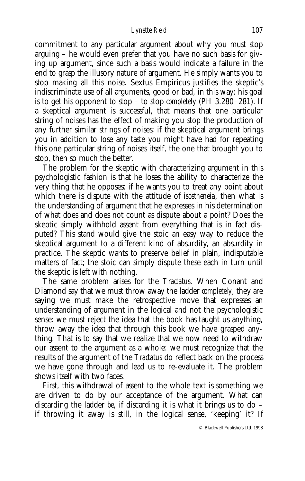commitment to any particular argument about why you must stop arguing – he would even prefer that you have no such basis for giving up argument, since such a basis would indicate a failure in the end to grasp the illusory nature of argument. He simply wants you to stop making all this noise. Sextus Empiricus justifies the skeptic's indiscriminate use of all arguments, good or bad, in this way: his goal is to get his opponent to stop – to stop *completely* (PH 3.280–281). If a skeptical argument is successful, that means that one particular string of noises has the effect of making you stop the production of any further similar strings of noises; if the skeptical argument brings you in addition to lose any taste you might have had for repeating this one particular string of noises itself, the one that brought you to stop, then so much the better.

The problem for the skeptic with characterizing argument in this psychologistic fashion is that he loses the ability to characterize the very thing that he opposes: if he wants you to treat any point about which there is dispute with the attitude of *isostheneia*, then what is the understanding of argument that he expresses in his determination of what does and does not count as dispute about a point? Does the skeptic simply withhold assent from everything that is in fact disputed? This stand would give the stoic an easy way to reduce the skeptical argument to a different kind of absurdity, an absurdity in practice. The skeptic wants to preserve belief in plain, indisputable matters of fact; the stoic can simply dispute these each in turn until the skeptic is left with nothing.

The same problem arises for the *Tractatus*. When Conant and Diamond say that we must throw away the ladder *completely*, they are saying we must make the retrospective move that expresses an understanding of argument in the logical and not the psychologistic sense: we must reject the idea that the book has taught us anything, throw away the idea that through this book we have grasped anything. That is to say that we realize that we now need to withdraw our assent to the argument as a whole: we must recognize that the results of the argument of the *Tractatus* do reflect back on the process we have gone through and lead us to re-evaluate it. The problem shows itself with two faces.

First, this withdrawal of assent to the whole text is something we are driven to do by our acceptance of the argument. What can discarding the ladder *be*, if discarding it is what it brings us to do – if throwing it away is still, in the logical sense, 'keeping' it? If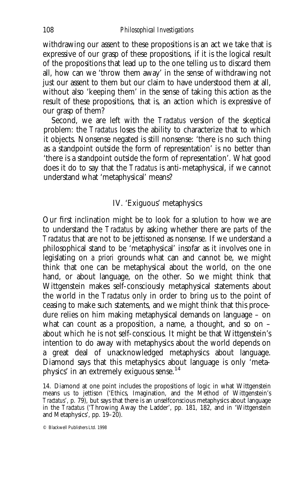withdrawing our assent to these propositions is an act we take that is expressive of our grasp of these propositions, if it is the logical result of the propositions that lead up to the one telling us to discard them all, how can we 'throw them away' in the sense of withdrawing not just our assent to them but our claim to have understood them at all, without also 'keeping them' in the sense of taking this action as the result of these propositions, that is, an action which is expressive of our grasp of them?

Second, we are left with the *Tractatus* version of the skeptical problem: the *Tractatus* loses the ability to characterize that to which it objects. Nonsense negated is still nonsense: 'there is no such thing as a standpoint outside the form of representation' is no better than 'there is a standpoint outside the form of representation'. What good does it do to say that the *Tractatus* is anti-metaphysical, if we cannot understand what 'metaphysical' means?

### IV. 'Exiguous' metaphysics

Our first inclination might be to look for a solution to how we are to understand the *Tractatus* by asking whether there are *parts* of the *Tractatus* that are not to be jettisoned as nonsense. If we understand a philosophical stand to be 'metaphysical' insofar as it involves one in legislating on *a priori* grounds what can and cannot be, we might think that one can be metaphysical about the world, on the one hand, or about language, on the other. So we might think that Wittgenstein makes self-consciously metaphysical statements about the world in the *Tractatus* only in order to bring us to the point of ceasing to make such statements, and we might think that this procedure relies on him making metaphysical demands on language – on what can count as a proposition, a name, a thought, and so on  $$ about which he is not self-conscious. It might be that Wittgenstein's intention to do away with metaphysics about the world depends on a great deal of unacknowledged metaphysics about language. Diamond says that this metaphysics about language is only 'metaphysics' in an extremely exiguous sense.<sup>14</sup>

14. Diamond at one point includes the propositions of logic in what Wittgenstein means us to jettison ('Ethics, Imagination, and the Method of Wittgenstein's *Tractatus*', p. 79), but says that there is an unselfconscious metaphysics about language in the *Tractatus* ('Throwing Away the Ladder', pp. 181, 182, and in 'Wittgenstein and Metaphysics', pp. 19–20).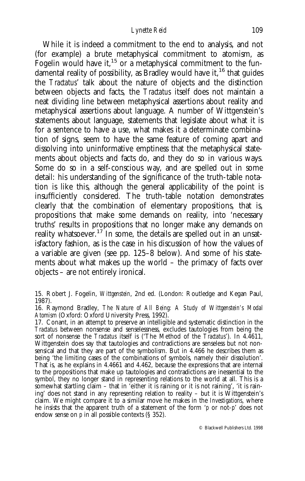While it is indeed a commitment to the end to analysis, and not (for example) a brute metaphysical commitment to atomism, as Fogelin would have it, $^{15}$  or a metaphysical commitment to the fundamental reality of possibility, as Bradley would have it,<sup>16</sup> that guides the *Tractatus*' talk about the nature of objects and the distinction between objects and facts, the *Tractatus* itself does not maintain a neat dividing line between metaphysical assertions about reality and metaphysical assertions about language. A number of Wittgenstein's statements about language, statements that legislate about what it is for a sentence to have a use, what makes it a determinate combination of signs, seem to have the same feature of coming apart and dissolving into uninformative emptiness that the metaphysical statements about objects and facts do, and they do so in various ways. Some do so in a self-conscious way, and are spelled out in some detail: his understanding of the significance of the truth-table notation is like this, although the general applicability of the point is insufficiently considered. The truth-table notation demonstrates clearly that the combination of elementary propositions, that is, propositions that make some demands on reality, into 'necessary truths' results in propositions that no longer make any demands on reality whatsoever.<sup>17</sup> In some, the details are spelled out in an unsatisfactory fashion, as is the case in his discussion of how the values of a variable are given (see pp. 125–8 below). And some of his statements about what makes up the world – the primacy of facts over objects – are not entirely ironical.

15. Robert J. Fogelin, *Wittgenstein*, 2nd ed. (London: Routledge and Kegan Paul, 1987).

16. Raymond Bradley, *The Nature of All Being: A Study of Wittgenstein's Modal Atomism* (Oxford: Oxford University Press, 1992).

17. Conant, in an attempt to preserve an intelligible and systematic distinction in the *Tractatus* between nonsense and senselessness, excludes tautologies from being the sort of nonsense the *Tractatus* itself is ('The Method of the *Tractatus*'). In 4.4611, Wittgenstein does say that tautologies and contradictions are senseless but not nonsensical and that they are part of the symbolism. But in 4.466 he describes them as being 'the limiting cases of the combinations of symbols, namely their dissolution'. That is, as he explains in 4.4661 and 4.462, because the expressions that are internal to the propositions that make up tautologies and contradictions are inessential to the symbol, they no longer stand in representing relations to the world at all. This is a somewhat startling claim – that in 'either it is raining or it is not raining', 'it is raining' does not stand in any representing relation to reality – but it is Wittgenstein's claim. We might compare it to a similar move he makes in the *Investigations*, where he insists that the apparent truth of a statement of the form '*p* or not-*p*' does not endow sense on  $p$  in all possible contexts  $(\S 352)$ .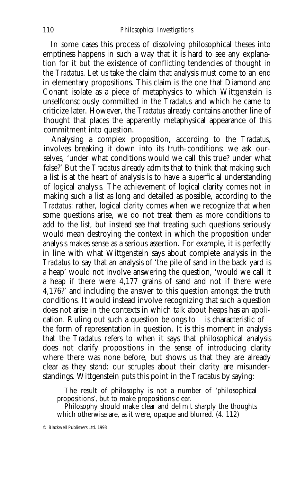In some cases this process of dissolving philosophical theses into emptiness happens in such a way that it is hard to see any explanation for it but the existence of conflicting tendencies of thought in the *Tractatus*. Let us take the claim that analysis must come to an end in elementary propositions. This claim is the one that Diamond and Conant isolate as a piece of metaphysics to which Wittgenstein is unselfconsciously committed in the *Tractatus* and which he came to criticize later. However, the *Tractatus* already contains another line of thought that places the apparently metaphysical appearance of this commitment into question.

Analysing a complex proposition, according to the *Tractatus*, involves breaking it down into its truth-conditions: we ask ourselves, 'under what conditions would we call this true? under what false?' But the *Tractatus* already admits that to think that making such a list is at the heart of analysis is to have a superficial understanding of logical analysis. The achievement of logical clarity comes not in making such a list as long and detailed as possible, according to the *Tractatus*: rather, logical clarity comes when we recognize that when some questions arise, we do not treat them as more conditions to add to the list, but instead see that treating such questions seriously would mean destroying the context in which the proposition under analysis makes sense as a serious assertion. For example, it is perfectly in line with what Wittgenstein says about complete analysis in the *Tractatus* to say that an analysis of 'the pile of sand in the back yard is a heap' would not involve answering the question, 'would we call it a heap if there were 4,177 grains of sand and not if there were 4,176?' and including the answer to this question amongst the truth conditions. It would instead involve recognizing that such a question does not arise in the contexts in which talk about heaps has an application. Ruling out such a question belongs to  $-$  is characteristic of  $$ the form of representation in question. It is this moment in analysis that the *Tractatus* refers to when it says that philosophical analysis does not clarify propositions in the sense of introducing clarity where there was none before, but shows us that they are already clear as they stand: our scruples about their clarity are misunderstandings. Wittgenstein puts this point in the *Tractatus* by saying:

The result of philosophy is not a number of 'philosophical propositions', but to make propositions clear.

Philosophy should make clear and delimit sharply the thoughts which otherwise are, as it were, opaque and blurred. (4. 112)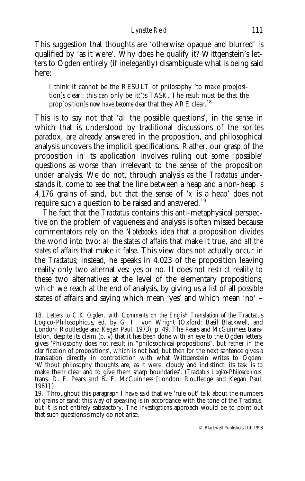#### *Lynette Reid* 111

This suggestion that thoughts are 'otherwise opaque and blurred' is qualified by 'as it were'. Why does he qualify it? Wittgenstein's letters to Ogden entirely (if inelegantly) disambiguate what is being said here:

I think it cannot be the RESULT of philosophy 'to make prop[osition]s clear': this can only be it(')s TASK. The *result* must be that the prop[osition]s *now have become dear* that they ARE clear.<sup>18</sup>

This is to say not that 'all the possible questions', in the sense in which that is understood by traditional discussions of the sorites paradox, are already answered in the proposition, and philosophical analysis uncovers the implicit specifications. Rather, our grasp of the proposition in its application involves ruling out some 'possible' questions as worse than irrelevant to the sense of the proposition under analysis. We do not, through analysis as the *Tractatus* understands it, come to see that the line between a heap and a non-heap is 4,176 grains of sand, but that the sense of '*x* is a heap' does not require such a question to be raised and answered.<sup>19</sup>

The fact that the *Tractatus* contains this anti-metaphysical perspective on the problem of vagueness and analysis is often missed because commentators rely on the *Notebooks* idea that a proposition divides the world into two: *all the states of affairs* that make it true, and *all the states of affairs* that make it false. This view does not actually occur in the *Tractatus*; instead, he speaks in 4.023 of the proposition leaving reality only two alternatives: yes or no. It does not restrict reality to these two alternatives at the level of the elementary propositions, which we reach at the end of analysis, by giving us a list of all possible states of affairs and saying which mean 'yes' and which mean 'no' –

18. *Letters to C.K Ogden, with Comments on the English Translation of the Tractatus* Logico-Philosophicus, ed. by G. H. von Wright (Oxford: Basil Blackwell, and London: Routledge and Kegan Paul, 1973), p. 49. The Pears and McGuinness translation, despite its claim  $(p, v)$  that it has been done with an eye to the Ogden letters, gives 'Philosophy does not result in "philosophical propositions", but rather in the clarification of propositions', which is not bad; but then for the next sentence gives a translation directly in contradiction with what Wittgenstein writes to Ogden: 'Without philosophy thoughts are, as it were, cloudy and indistinct: its task is to make them clear and to give them sharp boundaries'. (*Tractatus Logico-Philosophicus*, trans. D. F. Pears and B. F. McGuinness [London: Routledge and Kegan Paul, 1961].)

19. Throughout this paragraph I have said that we 'rule out' talk about the numbers of grains of sand: this way of speaking is in accordance with the tone of the *Tractatus*, but it is not entirely satisfactory. The *Investigations* approach would be to point out that such questions simply do not arise.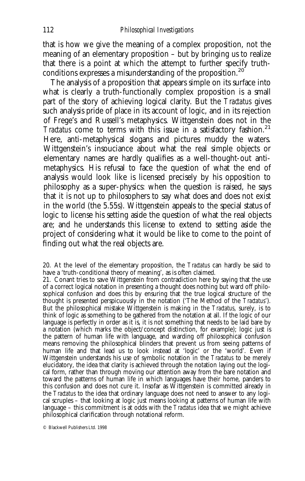that is how we give the meaning of a complex proposition, not the meaning of an elementary proposition – but by bringing us to realize that there is a point at which the attempt to further specify truthconditions expresses a misunderstanding of the proposition.<sup>20</sup>

The analysis of a proposition that appears simple on its surface into what is clearly a truth-functionally complex proposition is a small part of the story of achieving logical clarity. But the *Tractatus* gives such analysis pride of place in its account of logic, and in its rejection of Frege's and Russell's metaphysics. Wittgenstein does not in the *Tractatus* come to terms with this issue in a satisfactory fashion.<sup>21</sup> Here, anti-metaphysical slogans and pictures muddy the waters. Wittgenstein's insouciance about what the real simple objects or elementary names are hardly qualifies as a well-thought-out antimetaphysics. His refusal to face the question of what the end of analysis would look like is licensed precisely by his opposition to philosophy as a super-physics: when the question is raised, he says that it is not up to philosophers to say what does and does not exist in the world (the 5.55s). Wittgenstein appeals to the special status of logic to license his setting aside the question of what the real objects are; and he understands this license to extend to setting aside the project of considering what it would be like to come to the point of finding out what the real objects are.

<sup>20.</sup> At the level of the elementary proposition, the *Tractatus* can hardly be said to have a 'truth-conditional theory of meaning', as is often claimed.

<sup>21.</sup> Conant tries to save Wittgenstein from contradiction here by saying that the use of a correct logical notation in presenting a thought does nothing but ward off philosophical confusion and does this by ensuring that the true logical structure of the thought is presented perspicuously in the notation ('The Method of the *Tractatus*'). But the philosophical mistake Wittgenstein is making in the *Tractatus*, surely, is to think of logic as something to be gathered from the notation at all. If the logic of our language is perfectly in order as it is, it is not something that needs to be laid bare by a notation (which marks the object/concept distinction, for example); logic just is the pattern of human life with language, and warding off philosophical confusion means removing the philosophical blinders that prevent us from seeing patterns of human life and that lead us to look instead at 'logic' or the 'world'. Even if Wittgenstein understands his use of symbolic notation in the *Tractatus* to be merely elucidatory, the idea that clarity is achieved through the notation laying out the logical form, rather than through moving our attention away from the bare notation and toward the patterns of human life in which languages have their home, panders to this confusion and does not cure it. Insofar as Wittgenstein is committed already in the *Tractatus* to the idea that ordinary language does not need to answer to any logical scruples - that looking at logic just means looking at patterns of human life with language – this commitment is at odds with the *Tractatus* idea that we might achieve philosophical clarification through notational reform.

<sup>©</sup> Blackwell Publishers Ltd. 1998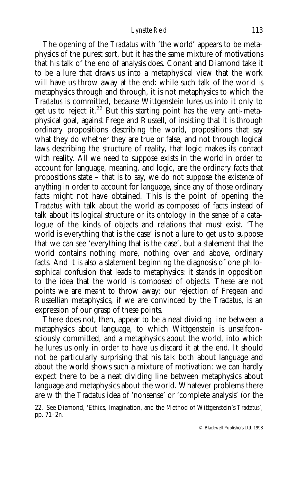The opening of the *Tractatus* with 'the world' appears to be metaphysics of the purest sort, but it has the same mixture of motivations that his talk of the end of analysis does. Conant and Diamond take it to be a lure that draws us into a metaphysical view that the work will have us throw away at the end: while such talk of the world is metaphysics through and through, it is not metaphysics to which the *Tractatus is* committed, because Wittgenstein lures us into it only to get us to reject it.<sup>22</sup> But this starting point has the very anti-metaphysical goal, against Frege and Russell, of insisting that it is through ordinary propositions describing the world, propositions that say what they do whether they are true or false, and not through logical laws describing the structure of reality, that logic makes its contact with reality. All we need to suppose exists in the world in order to account for language, meaning, and logic, are the ordinary facts that propositions state – that is to say, we do not suppose the *existence* of anything in order to account for language, since any of those ordinary facts might not have obtained. This is the point of opening the *Tractatus* with talk about the world as composed of facts instead of talk about its logical structure or its ontology in the sense of a catalogue of the kinds of objects and relations that must exist. 'The world is everything that is the case' is not a lure to get us to suppose that we can see 'everything that is the case', but a statement that the world contains nothing more, nothing over and above, ordinary facts. And it is also a statement beginning the diagnosis of one philosophical confusion that leads to metaphysics: it stands in opposition to the idea that the world is composed of objects. These are not points we are meant to throw away: our rejection of Fregean and Russellian metaphysics, if we are convinced by the *Tractatus*, is an expression of our grasp of these points.

There does not, then, appear to be a neat dividing line between a metaphysics about language, to which Wittgenstein is unselfconsciously committed, and a metaphysics about the world, into which he lures us only in order to have us discard it at the end. It should not be particularly surprising that his talk both about language and about the world shows such a mixture of motivation: we can hardly expect there to be a neat dividing line between metaphysics about language and metaphysics about the world. Whatever problems there are with the *Tractatus* idea of 'nonsense' or 'complete analysis' (or the

22. See Diamond, 'Ethics, Imagination, and the Method of Wittgenstein's *Tractatus*', pp. 71–2n.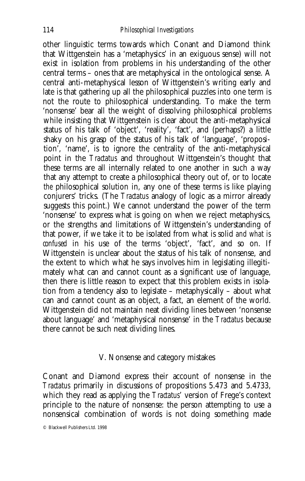other linguistic terms towards which Conant and Diamond think that Wittgenstein has a 'metaphysics' in an exiguous sense) will not exist in isolation from problems in his understanding of the other central terms – ones that are metaphysical in the ontological sense. A central anti-metaphysical lesson of Wittgenstein's writing early and late is that gathering up all the philosophical puzzles into one term is not the route to philosophical understanding. To make the term 'nonsense' bear all the weight of dissolving philosophical problems while insisting that Wittgenstein is clear about the anti-metaphysical status of his talk of 'object', 'reality', 'fact', and (perhaps?) a little shaky on his grasp of the status of his talk of 'language', 'proposition', 'name', is to ignore the centrality of the anti-metaphysical point in the *Tractatus* and throughout Wittgenstein's thought that these terms are all internally related to one another in such a way that any attempt to create a philosophical theory out of, or to locate *the* philosophical solution in, any one of these terms is like playing conjurers' tricks. (The *Tractatus* analogy of logic as a mirror already suggests this point.) We cannot understand the power of the term 'nonsense' to express what is going on when we reject metaphysics, or the strengths and limitations of Wittgenstein's understanding of that power, if we take it to be isolated from what is solid *and what is confused* in his use of the terms 'object', 'fact', and so on. If Wittgenstein is unclear about the status of his talk of nonsense, and the extent to which what he says involves him in legislating illegitimately what can and cannot count as a significant use of language, then there is little reason to expect that this problem exists in isolation from a tendency also to legislate – metaphysically – about what can and cannot count as an object, a fact, an element of the world. Wittgenstein did not maintain neat dividing lines between 'nonsense about language' and 'metaphysical nonsense' in the *Tractatus* because there cannot be such neat dividing lines.

### V. Nonsense and category mistakes

Conant and Diamond express their account of nonsense in the *Tractatus* primarily in discussions of propositions 5.473 and 5.4733, which they read as applying the *Tractatus*' version of Frege's context principle to the nature of nonsense: the person attempting to use a nonsensical combination of words is not doing something made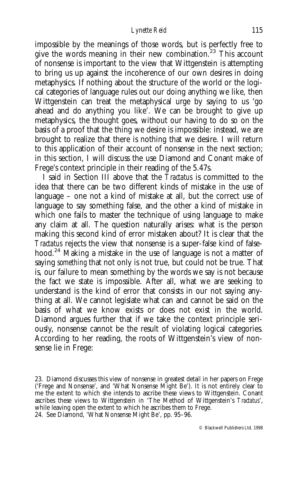impossible by the meanings of those words, but is perfectly free to give the words meaning in their new combination.<sup>23</sup> This account of nonsense is important to the view that Wittgenstein is attempting to bring us up against the incoherence of our own desires in doing metaphysics. If nothing about the structure of the world or the logical categories of language rules out our doing anything we like, then Wittgenstein can treat the metaphysical urge by saying to us 'go ahead and do anything you like'. We can be brought to give up metaphysics, the thought goes, without our having to do so on the basis of a proof that the thing we desire is impossible: instead, we are brought to realize that there is nothing that we desire. I will return to this application of their account of nonsense in the next section; in this section, I will discuss the use Diamond and Conant make of Frege's context principle in their reading of the 5.47s.

I said in Section III above that the *Tractatus* is committed to the idea that there can be two different kinds of mistake in the use of language – one not a kind of mistake at all, but the correct use of language to say something false, and the other a kind of mistake in which one fails to master the technique of using language to make any claim at all. The question naturally arises: what is the person making this second kind of error mistaken about? It is clear that the *Tractatus* rejects the view that nonsense is a super-false kind of falsehood.<sup>24</sup> Making a mistake in the use of language is not a matter of saying *something* that not only is not true, but could not be true. That is, our failure to mean something by the words we say is not because the fact we state is impossible. After all, what we are seeking to understand is the kind of error that consists in our not saying anything at all. We cannot legislate what can and cannot be said on the basis of what we know exists or does not exist in the world. Diamond argues further that if we take the context principle seriously, nonsense cannot be the result of violating logical categories. According to her reading, the roots of Wittgenstein's view of nonsense lie in Frege:

<sup>23.</sup> Diamond discusses this view of nonsense in greatest detail in her papers on Frege ('Frege and Nonsense', and 'What Nonsense Might Be'). It is not entirely clear to me the extent to which she intends to ascribe these views to Wittgenstein. Conant ascribes these views to Wittgenstein in 'The Method of Wittgenstein's *Tractatus*', while leaving open the extent to which he ascribes them to Frege. 24. See Diamond, 'What Nonsense Might Be', pp. 95–96.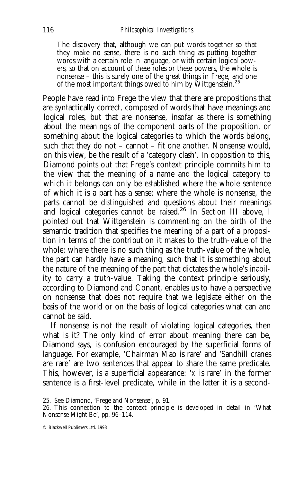The discovery that, although we can put words together so that they make no sense, there is no such thing as putting together words with a certain role in language, or with certain logical powers, so that on account of these roles or these powers, the whole is nonsense – this is surely one of the great things in Frege, and one of the most important things owed to him by Wittgenstein.<sup>25</sup>

People have read into Frege the view that there are propositions that are syntactically correct, composed of words that have meanings and logical roles, but that are nonsense, insofar as there is something about the meanings of the component parts of the proposition, or something about the logical categories to which the words belong, such that they do not – cannot – fit one another. Nonsense would, on this view, be the result of a 'category clash'. In opposition to this, Diamond points out that Frege's context principle commits him to the view that the meaning of a name and the logical category to which it belongs can only be established where the whole sentence of which it is a part has a sense: where the whole is nonsense, the parts cannot be distinguished and questions about their meanings and logical categories cannot be raised.<sup>26</sup> In Section III above, I pointed out that Wittgenstein is commenting on the birth of the semantic tradition that specifies the meaning of a part of a proposition in terms of the contribution it makes to the truth-value of the whole; where there is no such thing as the truth-value of the whole, the part can hardly have a meaning, such that it is something about the nature of the meaning of the part that dictates the whole's inability to carry a truth-value. Taking the context principle seriously, according to Diamond and Conant, enables us to have a perspective on nonsense that does not require that we legislate either on the basis of the world or on the basis of logical categories what can and cannot be said.

If nonsense is not the result of violating logical categories, then what is it? The only kind of error about meaning there can be, Diamond says, is confusion encouraged by the superficial forms of language. For example, 'Chairman Mao is rare' and 'Sandhill cranes are rare' are two sentences that appear to share the same predicate. This, however, is a superficial appearance: '*x* is rare' in the former sentence is a first-level predicate, while in the latter it is a second-

<sup>25.</sup> See Diamond, 'Frege and Nonsense', p. 91.

<sup>26.</sup> This connection to the context principle is developed in detail in 'What Nonsense Might Be', pp. 96–114.

<sup>©</sup> Blackwell Publishers Ltd. 1998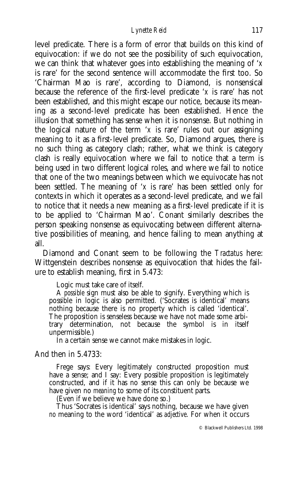level predicate. There is a form of error that builds on this kind of equivocation: if we do not see the possibility of such equivocation, we can think that whatever goes into establishing the meaning of '*x* is rare' for the second sentence will accommodate the first too. So 'Chairman Mao is rare', according to Diamond, is nonsensical because the reference of the first-level predicate '*x* is rare' has not been established, and this might escape our notice, because its meaning as a second-level predicate has been established. Hence the illusion that something has sense when it is nonsense. But nothing in the logical nature of the term '*x* is rare' rules out our assigning meaning to it as a first-level predicate. So, Diamond argues, there is no such thing as category clash; rather, what we think is category clash is really equivocation where we fail to notice that a term is being used in two different logical roles, and where we fail to notice that one of the two meanings between which we equivocate has not been settled. The meaning of '*x* is rare' has been settled only for contexts in which it operates as a second-level predicate, and we fail to notice that it needs a new meaning as a first-level predicate if it is to be applied to 'Chairman Mao'. Conant similarly describes the person speaking nonsense as equivocating between different alternative possibilities of meaning, and hence failing to mean anything at all.

Diamond and Conant seem to be following the *Tractatus* here: Wittgenstein describes nonsense as equivocation that hides the failure to establish meaning, first in 5.473:

Logic must take care of itself.

A *possible* sign must also be able to signify. Everything which is possible in logic is also permitted. ('Socrates is identical' means nothing because there is no property which is called 'identical'. The proposition is senseless because we have not made some arbitrary determination, not because the symbol is in itself unpermissible.)

In a certain sense we cannot make mistakes in logic.

#### And then in 5.4733:

Frege says: Every legitimately constructed proposition must have a sense; and I say: Every possible proposition is legitimately constructed, and if it has no sense this can only be because we have given no *meaning* to some of its constituent parts.

(Even if we believe we have done so.)

Thus 'Socrates is identical' says nothing, because we have given *no* meaning to the word 'identical' as *adjective*. For when it occurs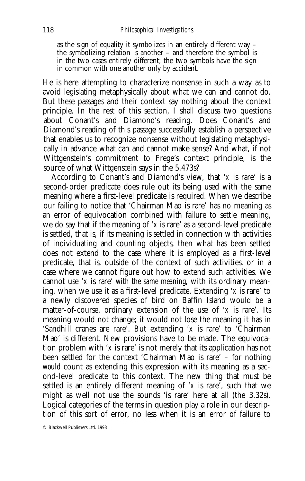as the sign of equality it symbolizes in an entirely different way – the symbolizing relation is another – and therefore the symbol is in the two cases entirely different; the two symbols have the sign in common with one another only by accident.

He is here attempting to characterize nonsense in such a way as to avoid legislating metaphysically about what we can and cannot do. But these passages and their context say nothing about the context principle. In the rest of this section,  $\tilde{I}$  shall discuss two questions about Conant's and Diamond's reading. Does Conant's and Diamond's reading of this passage successfully establish a perspective that enables us to recognize nonsense without legislating metaphysically in advance what can and cannot make sense? And what, if not Wittgenstein's commitment to Frege's context principle, is the source of what Wittgenstein says in the 5.473s?

According to Conant's and Diamond's view, that '*x* is rare' is a second-order predicate does rule out its being used with the same meaning where a first-level predicate is required. When we describe our failing to notice that 'Chairman Mao is rare' has no meaning as an error of equivocation combined with failure to settle meaning, we do say that if the meaning of '*x* is rare' as a second-level predicate is settled, that is, if its meaning is settled in connection with activities of individuating and counting objects, then what has been settled does not extend to the case where it is employed as a first-level predicate, that is, outside of the context of such activities, or in a case where we cannot figure out how to extend such activities. We cannot use '*x* is rare' *with the same meaning*, with its ordinary meaning, when we use it as a first-level predicate. Extending '*x* is rare' to a newly discovered species of bird on Baffin Island would be a matter-of-course, ordinary extension of the use of '*x* is rare'. Its meaning would not change; it would not lose the meaning it has in 'Sandhill cranes are rare'. But extending '*x* is rare' to 'Chairman Mao' is different. New provisions have to be made. The equivocation problem with '*x* is rare' is not merely that its application has not been settled for the context 'Chairman Mao is rare' – for nothing *would* count as extending this expression with its meaning as a second-level predicate to this context. The new thing that must be settled is an entirely different meaning of '*x* is rare', such that we might as well not use the sounds 'is rare' here at all (the 3.32s). Logical categories of the terms in question play a role in our description of this sort of error, no less when it is an error of failure to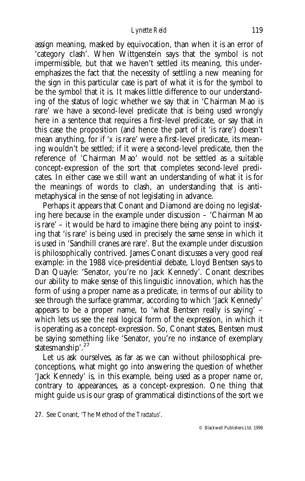assign meaning, masked by equivocation, than when it is an error of 'category clash'. When Wittgenstein says that the symbol is not impermissible, but that we haven't settled its meaning, this underemphasizes the fact that the necessity of settling a new meaning for the sign in this particular case is part of what it is for the symbol to be the symbol that it is. It makes little difference to our understanding of the status of logic whether we say that in 'Chairman Mao is rare' we have a second-level predicate that is being used wrongly here in a sentence that requires a first-level predicate, or say that in this case the proposition (and hence the part of it 'is rare') doesn't mean anything, for if '*x* is rare' were a first-level predicate, its meaning wouldn't be settled; if it were a second-level predicate, then the reference of 'Chairman Mao' would not be settled as a suitable concept-expression of the sort that completes second-level predicates. In either case we still want an understanding of what it is for the meanings of words to clash, an understanding that is antimetaphysical in the sense of not legislating in advance.

Perhaps it appears that Conant and Diamond are doing no legislating here because in the example under discussion – 'Chairman Mao is rare' – it would be hard to imagine there being any point to insisting that 'is rare' is being used in precisely the same sense in which it is used in 'Sandhill cranes are rare'. But the example under discussion is philosophically contrived. James Conant discusses a very good real example: in the 1988 vice-presidential debate, Lloyd Bentsen says to Dan Quayle: 'Senator, you're no Jack Kennedy'. Conant describes our ability to make sense of this linguistic innovation, which has the form of using a proper name as a predicate, in terms of our ability to see through the surface grammar, according to which 'Jack Kennedy' appears to be a proper name, to 'what Bentsen really is saying' – which lets us see the real logical form of the expression, in which it is operating as a concept-expression. So, Conant states, Bentsen must be saying something like 'Senator, you're no instance of exemplary statesmanship'.<sup>27</sup>

Let us ask ourselves, as far as we can without philosophical preconceptions, what might go into answering the question of whether 'Jack Kennedy' is, in this example, being used as a proper name or, contrary to appearances, as a concept-expression. One thing that might guide us is our grasp of grammatical distinctions of the sort we

27. See Conant, 'The Method of the *Tractatus*'.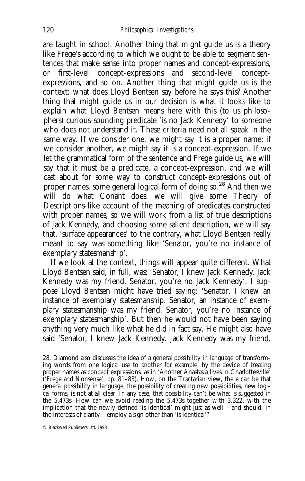are taught in school. Another thing that might guide us is a theory like Frege's according to which we ought to be able to segment sentences that make sense into proper names and concept-expressions, or first-level concept-expressions and second-level conceptexpressions, and so on. Another thing that might guide us is the context: what does Lloyd Bentsen say before he says this? Another thing that might guide us in our decision is what it looks like to explain what Lloyd Bentsen means here with this (to us philosophers) curious-sounding predicate 'is no Jack Kennedy' to someone who does not understand it. These criteria need not all speak in the same way. If we consider one, we might say it is a proper name; if we consider another, we might say it is a concept-expression. If we let the grammatical form of the sentence and Frege guide us, we will say that it must be a predicate, a concept-expression, and we will cast about for some way to construct concept-expressions out of proper names, some general logical form of doing so.28 And then we will do what Conant does: we will give some Theory of Descriptions-like account of the meaning of predicates constructed with proper names; so we will work from a list of true descriptions of Jack Kennedy, and choosing some salient description, we will say that, 'surface appearances' to the contrary, what Lloyd Bentsen really meant to say was something like 'Senator, you're no instance of exemplary statesmanship'.

If we look at the context, things will appear quite different. What Lloyd Bentsen said, in full, was: 'Senator, I knew Jack Kennedy. Jack Kennedy was my friend. Senator, you're no Jack Kennedy'. I suppose Lloyd Bentsen might have tried saying: 'Senator, I knew an instance of exemplary statesmanship. Senator, an instance of exemplary statesmanship was my friend. Senator, you're no instance of exemplary statesmanship'. But then he would not have been saying anything very much like what he did in fact say. He might also have said 'Senator, I knew Jack Kennedy. Jack Kennedy was my friend.

28. Diamond also discusses the idea of a general possibility in language of transforming words from one logical use to another for example, by the device of treating proper names as concept expressions, as in 'Another Anastasia lives in Charlottesville' ('Frege and Nonsense', pp. 81–83). How, on the Tractarian view, there can be that general possibility in language, the possibility of creating new possibilities, new logical forms, is not at all clear. In any case, that possibility can't be what is suggested in the 5.473s. How can we avoid reading the 5.473s together with 3.322, with the implication that the newly defined 'is identical' might just as well – and should, in the interests of clarity – employ a sign other than 'is identical'?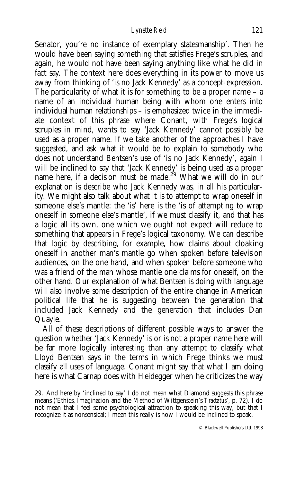Senator, you're no instance of exemplary statesmanship'. Then he would have been saying something that satisfies Frege's scruples, and again, he would not have been saying anything like what he did in fact say. The context here does everything in its power to move us away from thinking of 'is no Jack Kennedy' as a concept-expression. The particularity of what it is for something to be a proper name  $-$  a name of an individual human being with whom one enters into individual human relationships – is emphasized twice in the immediate context of this phrase where Conant, with Frege's logical scruples in mind, wants to say 'Jack Kennedy' cannot possibly be used as a proper name. If we take another of the approaches I have suggested, and ask what it would be to explain to somebody who does not understand Bentsen's use of 'is no Jack Kennedy', again I will be inclined to say that 'Jack Kennedy' *is* being used as a proper name here, if a decision must be made.<sup>29</sup> What we will do in our explanation is describe who Jack Kennedy was, in all his particularity. We might also talk about what it is to attempt to wrap oneself in someone else's mantle: the 'is' here is the 'is of attempting to wrap oneself in someone else's mantle', if we must classify it, and that has a logic all its own, one which we ought not expect will reduce to something that appears in Frege's logical taxonomy. We can describe that logic by describing, for example, how claims about cloaking oneself in another man's mantle go when spoken before television audiences, on the one hand, and when spoken before someone who was a friend of the man whose mantle one claims for oneself, on the other hand. Our explanation of what Bentsen is doing with language will also involve some description of the entire change in American political life that he is suggesting between the generation that included Jack Kennedy and the generation that includes Dan Quayle.

All of these descriptions of different possible ways to answer the question whether 'Jack Kennedy' is or is not a proper name here will be far more logically interesting than any attempt to classify what Lloyd Bentsen says in the terms in which Frege thinks we must classify all uses of language. Conant might say that what I am doing here is what Carnap does with Heidegger when he criticizes the way

29. And here by 'inclined to say' I do not mean what Diamond suggests this phrase means ('Ethics, Imagination and the Method of Wittgenstein's *Tractatus*', p. 72). I do not mean that I feel some psychological attraction to speaking this way, but that I recognize it as nonsensical; I mean this really is how I would be inclined to speak.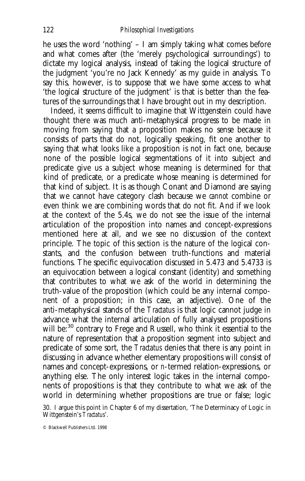he uses the word 'nothing' – I am simply taking what comes before and what comes after (the 'merely psychological surroundings') to dictate my logical analysis, instead of taking the logical structure of the judgment 'you're no Jack Kennedy' as my guide in analysis. To say this, however, is to suppose that we have some access to what 'the logical structure of the judgment' is that is better than the features of the surroundings that I have brought out in my description.

Indeed, it seems difficult to imagine that Wittgenstein could have thought there was much anti-metaphysical progress to be made in moving from saying that a proposition makes no sense because it consists of parts that do not, logically speaking, fit one another to saying that what looks like a proposition is not in fact one, because none of the possible logical segmentations of it into subject and predicate give us a subject whose meaning is determined for that kind of predicate, or a predicate whose meaning is determined for that kind of subject. It is as though Conant and Diamond are saying that we cannot have category clash because we *cannot* combine or even think we are combining words that do not fit. And if we look at the context of the 5.4s, we do not see the issue of the internal articulation of the proposition into names and concept-expressions mentioned here at all, and we see no discussion of the context principle. The topic of this section is the nature of the logical constants, and the confusion between truth-functions and material functions. The specific equivocation discussed in 5.473 and 5.4733 is an equivocation between a logical constant (identity) and something that contributes to what we ask of the world in determining the truth-value of the proposition (which could be any internal component of a proposition; in this case, an adjective). One of the anti-metaphysical stands of the *Tractatus* is that logic cannot judge in advance what the internal articulation of fully analysed propositions will be:<sup>30</sup> contrary to Frege and Russell, who think it essential to the nature of representation that a proposition segment into subject and predicate of some sort, the *Tractatus* denies that there is any point in discussing in advance whether elementary propositions will consist of names and concept-expressions, or *n*-termed relation-expressions, or anything else. The only interest logic takes in the internal components of propositions is that they contribute to what we ask of the world in determining whether propositions are true or false; logic

30. I argue this point in Chapter 6 of my dissertation, 'The Determinacy of Logic in Wittgenstein's *Tractatus*'.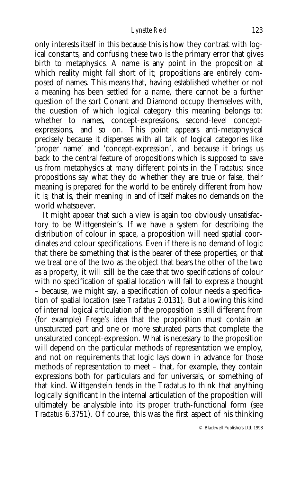only interests itself in this because this is how they contrast with logical constants, and confusing these two is the primary error that gives birth to metaphysics. A name is any point in the proposition at which reality might fall short of it; propositions are entirely composed of names. This means that, having established whether or not a meaning has been settled for a name, there cannot be a further question of the sort Conant and Diamond occupy themselves with, the question of which logical category this meaning belongs to: whether to names, concept-expressions, second-level conceptexpressions, and so on. This point appears anti-metaphysical precisely because it dispenses with *all* talk of logical categories like 'proper name' and 'concept-expression', and because it brings us back to the central feature of propositions which is supposed to save us from metaphysics at many different points in the *Tractatus*: since propositions say what they do whether they are true or false, their meaning is prepared for the world to be entirely different from how it is; that is, their meaning in and of itself makes no demands on the world whatsoever.

It might appear that such a view is again too obviously unsatisfactory to be Wittgenstein's. If we have a system for describing the distribution of colour in space, a proposition will need spatial coordinates and colour specifications. Even if there is no demand of logic that there be something that is the bearer of these properties, or that we treat one of the two as the object that bears the other of the two as a property, it will still be the case that two specifications of colour with no specification of spatial location will fail to express a thought – because, we might say, a specification of colour needs a specification of spatial location (see *Tractatus* 2.0131). But allowing this kind of internal logical articulation of the proposition is still different from (for example) Frege's idea that the proposition must contain an unsaturated part and one or more saturated parts that complete the unsaturated concept-expression. What is necessary to the proposition will depend on the particular methods of representation we employ, and not on requirements that logic lays down in advance for those methods of representation to meet – that, for example, they contain expressions both for particulars and for universals, or something of that kind. Wittgenstein tends in the *Tractatus* to think that anything logically significant in the internal articulation of the proposition will ultimately be analysable into its proper truth-functional form (see *Tractatus* 6.3751). Of course, this was the first aspect of his thinking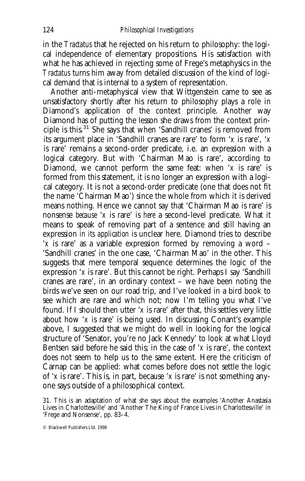in the *Tractatus* that he rejected on his return to philosophy: the logical independence of elementary propositions. His satisfaction with what he has achieved in rejecting some of Frege's metaphysics in the *Tractatus* turns him away from detailed discussion of the kind of logical demand that is internal to a system of representation.

Another anti-metaphysical view that Wittgenstein came to see as unsatisfactory shortly after his return to philosophy plays a role in Diamond's application of the context principle. Another way Diamond has of putting the lesson she draws from the context principle is this.<sup>31</sup> She says that when 'Sandhill cranes' is removed from its argument place in 'Sandhill cranes are rare' to form '*x* is rare', '*x* is rare' remains a second-order predicate, i.e. an expression with a logical category. But with 'Chairman Mao is rare', according to Diamond, we cannot perform the same feat: when '*x* is rare' is formed from this statement, it is no longer an expression with a logical category. It is not a second-order predicate (one that does not fit the name 'Chairman Mao') since the whole from which it is derived means nothing. Hence we cannot say that 'Chairman Mao is rare' is nonsense *because* '*x* is rare' is *here* a second-level predicate. What it means to speak of removing part of a sentence and still having an expression *in its application* is unclear here. Diamond tries to describe '*x* is rare' as a variable expression formed by removing a word – 'Sandhill cranes' in the one case, 'Chairman Mao' in the other. This suggests that mere temporal sequence determines the logic of the expression '*x* is rare'. But this cannot be right. Perhaps I say 'Sandhill cranes are rare', in an ordinary context – we have been noting the birds we've seen on our road trip, and I've looked in a bird book to see which are rare and which not; now I'm telling you what I've found. If I should then utter '*x* is rare' after that, this settles very little about how '*x* is rare' is being used. In discussing Conant's example above, I suggested that we might do well in looking for the logical structure of 'Senator, you're no Jack Kennedy' to look at what Lloyd Bentsen said before he said this; in the case of '*x* is rare', the context does not seem to help us to the same extent. Here the criticism of Carnap can be applied: what comes before does not settle the logic of '*x* is rare'. This is, in part, because '*x* is rare' is not something anyone says outside of a philosophical context.

<sup>31.</sup> This is an adaptation of what she says about the examples 'Another Anastasia Lives in Charlottesville' and 'Another The King of France Lives in Charlottesville' in 'Frege and Nonsense', pp. 83–4.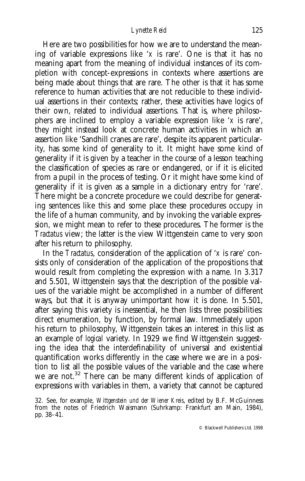Here are two possibilities for how we are to understand the meaning of variable expressions like '*x* is rare'. One is that it has no meaning apart from the meaning of individual instances of its completion with concept-expressions in contexts where assertions are being made about things that are rare. The other is that it has some reference to human activities that are not reducible to these individual assertions in their contexts; rather, these activities have logics of their own, related to individual assertions. That is, where philosophers are inclined to employ a variable expression like '*x* is rare', they might instead look at concrete human activities in which an assertion like 'Sandhill cranes are rare', despite its apparent particularity, has some kind of generality to it. It might have some kind of generality if it is given by a teacher in the course of a lesson teaching the classification of species as rare or endangered, or if it is elicited from a pupil in the process of testing. Or it might have some kind of generality if it is given as a sample in a dictionary entry for 'rare'. There might be a concrete procedure we could describe for generating sentences like this and some place these procedures occupy in the life of a human community, and by invoking the variable expression, we might mean to refer to these procedures. The former is the *Tractatus* view; the latter is the view Wittgenstein came to very soon after his return to philosophy.

In the *Tractatus*, consideration of the application of '*x* is rare' consists only of consideration of the application of the propositions that would result from completing the expression with a name. In 3.317 and 5.501, Wittgenstein says that the description of the possible values of the variable might be accomplished in a number of different ways, but that it is anyway unimportant how it is done. In 5.501, after saying this variety is inessential, he then lists three possibilities: direct enumeration, by function, by formal law. Immediately upon his return to philosophy, Wittgenstein takes an interest in this list as an example of *logical* variety. In 1929 we find Wittgenstein suggesting the idea that the interdefinability of universal and existential quantification works differently in the case where we are in a position to list all the possible values of the variable and the case where we are not.<sup>32</sup> There can be many different kinds of application of expressions with variables in them, a variety that cannot be captured

<sup>32.</sup> See, for example, *Wittgenstein und der Wiener Kreis*, edited by B.F. McGuinness from the notes of Friedrich Waismann (Suhrkamp: Frankfurt am Main, 1984), pp. 38–41.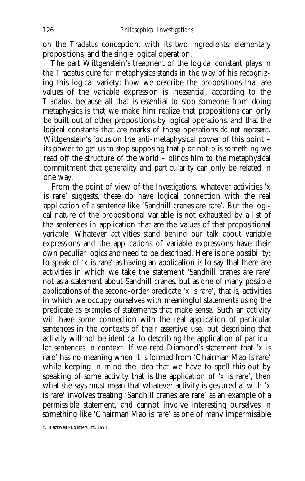on the *Tractatus* conception, with its two ingredients: elementary propositions, and the single logical operation.

The part Wittgenstein's treatment of the logical constant plays in the *Tractatus* cure for metaphysics stands in the way of his recognizing this logical variety: how we describe the propositions that are values of the variable expression is inessential, according to the *Tractatus*, because all that is essential to stop someone from doing metaphysics is that we make him realize that propositions can only be built out of other propositions by logical operations, and that the logical constants that are marks of those operations *do not represent*. Wittgenstein's focus on the anti-metaphysical power of this point – its power to get us to stop supposing that *p* or not-*p* is something we read off the structure of the world – blinds him to the metaphysical commitment that generality and particularity can only be related in one way.

From the point of view of the *Investigations*, whatever activities '*x* is rare' suggests, these do have logical connection with the real application of a sentence like 'Sandhill cranes are rare'. But the logical nature of the propositional variable is not exhausted by a list of the sentences in application that are the values of that propositional variable. Whatever activities stand behind our talk about variable expressions and the applications of variable expressions have their own peculiar logics and need to be described. Here is one possibility: to speak of '*x* is rare' as having an application is to say that there are activities in which we take the statement 'Sandhill cranes are rare' not as a statement about Sandhill cranes, but as one of many possible applications of the second-order predicate '*x* is rare', that is, activities in which we occupy ourselves with meaningful statements using the predicate *as examples of* statements that make sense. Such an activity will have some connection with the real application of particular sentences in the contexts of their assertive use, but describing that activity will not be identical to describing the application of particular sentences in context. If we read Diamond's statement that '*x* is rare' has no meaning when it is formed from 'Chairman Mao is rare' while keeping in mind the idea that we have to spell this out by speaking of some activity that is the application of '*x* is rare', then what she says must mean that whatever activity is gestured at with '*x* is rare' involves treating 'Sandhill cranes are rare' as an example of a permissible statement, and cannot involve interesting ourselves in something like 'Chairman Mao is rare' as one of many impermissible

<sup>©</sup> Blackwell Publishers Ltd. 1998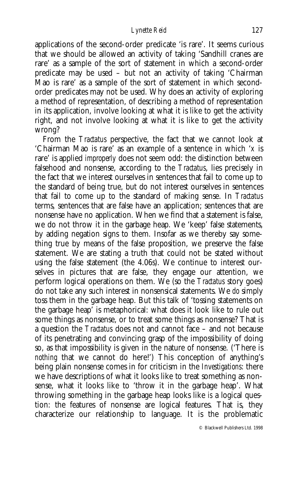applications of the second-order predicate 'is rare'. It seems curious that we should be allowed an activity of taking 'Sandhill cranes are rare' as a sample of the sort of statement in which a second-order predicate may be used – but not an activity of taking 'Chairman Mao is rare' as a sample of the sort of statement in which secondorder predicates may not be used. Why does an activity of exploring a method of representation, of describing a method of representation in its application, involve looking at what it is like to get the activity right, and not involve looking at what it is like to get the activity wrong?

From the *Tractatus* perspective, the fact that we cannot look at 'Chairman Mao is rare' as an example of a sentence in which '*x* is rare' is applied *improperly* does not seem odd: the distinction between falsehood and nonsense, according to the *Tractatus*, lies precisely in the fact that we interest ourselves in sentences that fail to come up to the standard of being true, but do not interest ourselves in sentences that fail to come up to the standard of making sense. In *Tractatus* terms, sentences that are false have an application; sentences that are nonsense have no application. When we find that a statement is false, we do not throw it in the garbage heap. We 'keep' false statements, by adding negation signs to them. Insofar as we thereby say something true by means of the false proposition, we preserve the false statement. We are stating a truth that could not be stated without using the false statement (the 4.06s). We continue to interest ourselves in pictures that are false, they engage our attention, we perform logical operations on them. We (so the *Tractatus* story goes) do not take any such interest in nonsensical statements. We *do* simply toss them in the garbage heap. But this talk of 'tossing statements on the garbage heap' is metaphorical: what does it look like to rule out some things as nonsense, or to treat some things as nonsense? That is a question the *Tractatus* does not and cannot face – and not because of its penetrating and convincing grasp of the impossibility of doing so, as that impossibility is given in the nature of nonsense. ('There is *nothing* that we cannot do here!') This conception of anything's being plain nonsense comes in for criticism in the *Investigations*: there we have descriptions of what it looks like to treat something as nonsense, what it looks like to 'throw it in the garbage heap'. What throwing something in the garbage heap looks like *is* a logical question: the features of nonsense are logical features. That is, they characterize our relationship to language. It is the problematic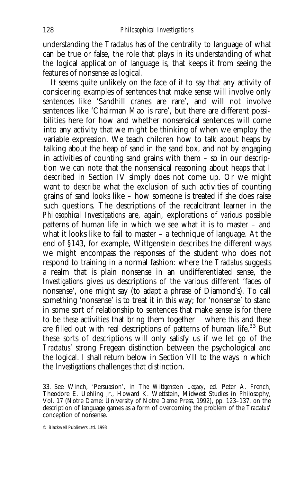understanding the *Tractatus* has of the centrality to language of what can be true or false, the role that plays in its understanding of what the logical application of language is, that keeps it from seeing the features of nonsense as logical.

It seems quite unlikely on the face of it to say that any activity of considering examples of sentences that make sense will involve only sentences like 'Sandhill cranes are rare', and will not involve sentences like 'Chairman Mao is rare', but there are different possibilities here for how and whether nonsensical sentences will come into any activity that we might be thinking of when we employ the variable expression. We teach children how to talk about heaps by talking about the heap of sand in the sand box, and not by engaging in activities of counting sand grains with them – so in our description we can note that the nonsensical reasoning about heaps that I described in Section IV simply does not come up. Or we might want to describe what the exclusion of such activities of counting grains of sand looks like – how someone is treated if she does raise such questions. The descriptions of the recalcitrant learner in the *Philosophical Investigations* are, again, explorations of *various* possible patterns of human life in which we see what it is to master – and what it looks like to fail to master – a technique of language. At the end of §143, for example, Wittgenstein describes the different ways we might encompass the responses of the student who does not respond to training in a normal fashion: where the *Tractatus* suggests a realm that is plain nonsense in an undifferentiated sense, the *Investigations* gives us descriptions of the various different 'faces of nonsense', one might say (to adapt a phrase of Diamond's). To call something 'nonsense' is to treat it in *this* way; for 'nonsense' to stand in some sort of relationship to sentences that make sense is for there to be *these* activities that bring them together – where *this* and *these* are filled out with real descriptions of patterns of human life.<sup>33</sup> But these sorts of descriptions will only satisfy us if we let go of the *Tractatus*' strong Fregean distinction between the psychological and the logical. I shall return below in Section VII to the ways in which the *Investigations* challenges that distinction.

<sup>33.</sup> See Winch, 'Persuasion', in *The Wittgenstein Legacy*, ed. Peter A. French, Theodore E. Uehling Jr., Howard K. Wettstein, Midwest Studies in Philosophy, Vol. 17 (Notre Dame: University of Notre Dame Press, 1992), pp. 123–137, on the description of language games as a form of overcoming the problem of the *Tractatus'* conception of nonsense.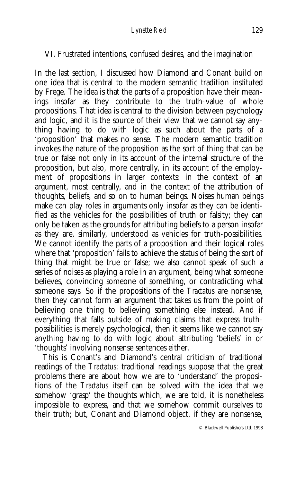# VI. Frustrated intentions, confused desires, and the imagination

In the last section, I discussed how Diamond and Conant build on one idea that is central to the modern semantic tradition instituted by Frege. The idea is that the parts of a proposition have their meanings insofar as they contribute to the truth-value of whole propositions. That idea is central to the division between psychology and logic, and it is the source of their view that we cannot say anything having to do with logic as such about the parts of a 'proposition' that makes no sense. The modern semantic tradition invokes the nature of the proposition as the sort of thing that can be true or false not only in its account of the internal structure of the proposition, but also, more centrally, in its account of the employment of propositions in larger contexts: in the context of an argument, most centrally, and in the context of the attribution of thoughts, beliefs, and so on to human beings. Noises human beings make can play roles in arguments only insofar as they can be identified as the vehicles for the possibilities of truth or falsity; they can only be taken as the grounds for attributing beliefs to a person insofar as they are, similarly, understood as vehicles for truth-possibilities. We cannot identify the parts of a proposition and their logical roles where that 'proposition' fails to achieve the status of being the sort of thing that might be true or false; we also cannot speak of such a series of noises as playing a role in an argument, being what someone believes, convincing someone of something, or contradicting what someone says. So if the propositions of the *Tractatus* are nonsense, then they cannot form an argument that takes us from the point of believing one thing to believing something else instead. And if everything that falls outside of making claims that express truthpossibilities is merely psychological, then it seems like we cannot say anything having to do with logic about attributing 'beliefs' in or 'thoughts' involving nonsense sentences either.

This is Conant's and Diamond's central criticism of traditional readings of the *Tractatus*: traditional readings suppose that the great problems there are about how we are to 'understand' the propositions of the *Tractatus* itself can be solved with the idea that we somehow 'grasp' the thoughts which, we are told, it is nonetheless impossible to express, and that we somehow commit ourselves to their truth; but, Conant and Diamond object, if they are nonsense,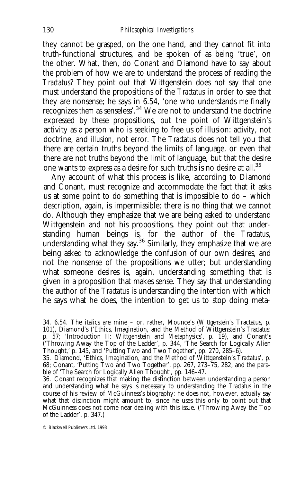they cannot be grasped, on the one hand, and they cannot fit into truth-functional structures, and be spoken of as being 'true', on the other. What, then, do Conant and Diamond have to say about the problem of how we are to understand the process of reading the *Tractatus*? They point out that Wittgenstein does not say that one must understand the propositions of the *Tractatus* in order to see that they are nonsense; he says in 6.54, 'one who understands *me* finally recognizes *them* as senseless'.<sup>34</sup> We are not to understand the doctrine expressed by these propositions, but the point of Wittgenstein's activity as a person who is seeking to free us of illusion: *activity*, not doctrine, and *illusion*, not error. The *Tractatus* does not tell you that there are certain truths beyond the limits of language, or even that there are not truths beyond the limit of language, but that the desire one wants to express as a desire for such truths is no desire at all.<sup>35</sup>

Any account of what this process is like, according to Diamond and Conant, must recognize and accommodate the fact that it asks us at some point to do something that is impossible to do – which description, again, is impermissible; there is no *thing* that we cannot do. Although they emphasize that we are being asked to understand Wittgenstein and not his propositions, they point out that understanding human beings is, for the author of the *Tractatus*, understanding what they say.<sup>36</sup> Similarly, they emphasize that we are being asked to acknowledge the confusion of our own desires, and not the nonsense of the propositions we utter; but understanding what someone desires is, again, understanding something that is given in a proposition that makes sense. They say that understanding the author of the *Tractatus* is understanding the intention with which he says what he does, the intention to get us to stop doing meta-

<sup>34.</sup> 6.54. The italics are mine – or, rather, Mounce's (*Wittgenstein's* Tractatus, p. 101), Diamond's ('Ethics, Imagination, and the Method of Wittgenstein's *Tractatus*: p. 57; 'Introduction II: Wittgenstein and Metaphysics', p. 19), and Conant's ('Throwing Away the Top of the Ladder', p. 344, 'The Search for Logically Alien Thought,' p. 145, and 'Putting Two and Two Together', pp. 270, 285–6).

<sup>35.</sup> Diamond, 'Ethics, Imagination, and the Method of Wittgenstein's *Tractatus*', p. 68; Conant, 'Putting Two and Two Together', pp. 267, 273–75, 282, and the parable of 'The Search for Logically Alien Thought', pp. 146–47.

<sup>36.</sup> Conant recognizes that making the distinction between understanding a person and understanding what he says is necessary to understanding the *Tractatus* in the course of his review of McGuinness's biography: he does not, however, actually say what that distinction might amount to, since he uses this only to point out that McGuinness does not come near dealing with this issue. ('Throwing Away the Top of the Ladder', p. 347.)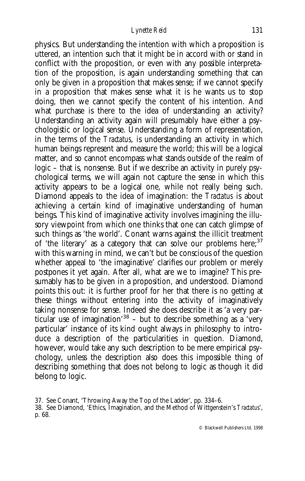physics. But understanding the intention with which a proposition is uttered, an intention such that it might be in accord with or stand in conflict with the proposition, or even with any possible interpretation of the proposition, is again understanding something that can only be given in a proposition that makes sense; if we cannot specify in a proposition that makes sense what it is he wants us to stop doing, then we cannot specify the content of his intention. And what purchase is there to the idea of understanding an activity? Understanding an activity again will presumably have either a psychologistic or logical sense. Understanding a form of representation, in the terms of the *Tractatus*, is understanding an activity in which human beings represent and measure the world; this will be a logical matter, and so cannot encompass what stands outside of the realm of logic – that is, nonsense. But if we describe an activity in purely psychological terms, we will again not capture the sense in which this activity appears to be a logical one, while not really being such. Diamond appeals to the idea of imagination: the *Tractatus* is about achieving a certain kind of imaginative understanding of human beings. This kind of imaginative activity involves imagining the illusory viewpoint from which one thinks that one can catch glimpse of such things as 'the world'. Conant warns against the illicit treatment of 'the literary' as a category that can solve our problems here; $37$ with this warning in mind, we can't but be conscious of the question whether appeal to 'the imaginative' clarifies our problem or merely postpones it yet again. After all, what are we to imagine? This presumably has to be given in a proposition, and understood. Diamond points this out: it is further proof for her that there is no getting at these things without entering into the activity of imaginatively taking nonsense for sense. Indeed she does describe it as 'a very particular use of imagination<sup>38</sup> – but to describe something as a 'very particular' instance of its kind ought always in philosophy to introduce a description of the particularities in question. Diamond, however, would take any such description to be mere empirical psychology, unless the description also does this impossible thing of describing something that does not belong to logic as though it did belong to logic.

<sup>37.</sup> See Conant, 'Throwing Away the Top of the Ladder', pp. 334–6.

<sup>38.</sup> See Diamond, 'Ethics, Imagination, and the Method of Wittgenstein's *Tractatus*', p. 68.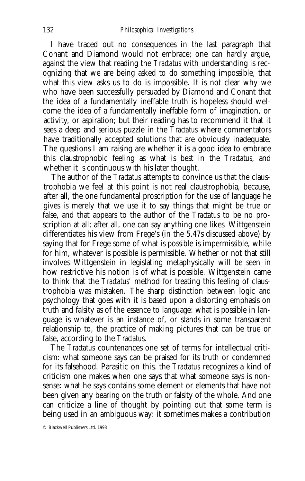I have traced out no consequences in the last paragraph that Conant and Diamond would not embrace; one can hardly argue, against the view that reading the *Tractatus* with understanding is recognizing that we are being asked to do something impossible, that what this view asks us to do is impossible. It is not clear why we who have been successfully persuaded by Diamond and Conant that the idea of a fundamentally ineffable truth is hopeless should welcome the idea of a fundamentally ineffable form of imagination, or activity, or aspiration; but their reading has to recommend it that it sees a deep and serious puzzle in the *Tractatus* where commentators have traditionally accepted solutions that are obviously inadequate. The questions I am raising are whether it is a good idea to embrace this claustrophobic feeling as what is best in the *Tractatus*, and whether it is continuous with his later thought.

The author of the *Tractatus* attempts to convince us that the claustrophobia we feel at this point is not real claustrophobia, because, after all, the one fundamental proscription for the use of language he gives is merely that we use it to say things that might be true or false, and that appears to the author of the *Tractatus* to be no proscription at all; after all, one can say anything one likes. Wittgenstein differentiates his view from Frege's (in the 5.47s discussed above) by saying that for Frege some of what is possible is impermissible, while for him, whatever is possible is permissible. Whether or not that still involves Wittgenstein in legislating metaphysically will be seen in how restrictive his notion is of what is possible. Wittgenstein came to think that the *Tractatus'* method for treating this feeling of claustrophobia was mistaken. The sharp distinction between logic and psychology that goes with it is based upon a distorting emphasis on truth and falsity as of the essence to language: what is possible in language is whatever is an instance of, or stands in some transparent relationship to, the practice of making pictures that can be true or false, according to the *Tractatus*.

The *Tractatus* countenances one set of terms for intellectual criticism: what someone says can be praised for its truth or condemned for its falsehood. Parasitic on this, the *Tractatus* recognizes a kind of criticism one makes when one says that what someone says is nonsense: what he says contains some element or elements that have not been given any bearing on the truth or falsity of the whole. And one can criticize a line of thought by pointing out that some term is being used in an ambiguous way: it sometimes makes a contribution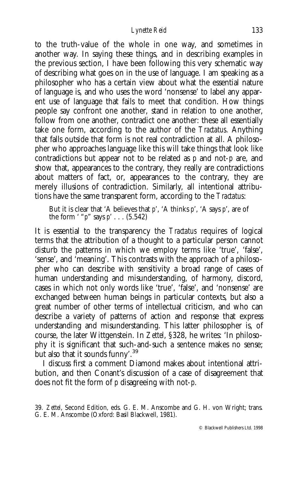to the truth-value of the whole in one way, and sometimes in another way. In saying these things, and in describing examples in the previous section, I have been following this very schematic way of describing what goes on in the use of language. I am speaking as a philosopher who has a certain view about what the essential nature of language is, and who uses the word 'nonsense' to label any apparent use of language that fails to meet that condition. How things people say confront one another, stand in relation to one another, follow from one another, contradict one another: these all essentially take one form, according to the author of the *Tractatus*. Anything that falls outside that form is not real contradiction at all. A philosopher who approaches language like this will take things that look like contradictions but appear not to be related as *p* and not-*p* are, and show that, appearances to the contrary, they really are contradictions about matters of fact, or, appearances to the contrary, they are merely illusions of contradiction. Similarly, all intentional attributions have the same transparent form, according to the *Tractatus*:

But it is clear that 'A believes that *p*', 'A thinks *p*', 'A says *p*', are of the form ' "*p*" says *p*' . . . (5.542)

It is essential to the transparency the *Tractatus* requires of logical terms that the attribution of a thought to a particular person cannot disturb the patterns in which we employ terms like 'true', 'false', 'sense', and 'meaning'. This contrasts with the approach of a philosopher who can describe with sensitivity a broad range of cases of human understanding and misunderstanding, of harmony, discord, cases in which not only words like 'true', 'false', and 'nonsense' are exchanged between human beings in particular contexts, but also a great number of other terms of intellectual criticism, and who can describe a variety of patterns of action and response that express understanding and misunderstanding. This latter philosopher is, of course, the later Wittgenstein. In *Zettel*, §328, he writes: 'In philosophy it is significant that such-and-such a sentence makes no sense; but also that it sounds funny'.<sup>39</sup>

I discuss first a comment Diamond makes about intentional attribution, and then Conant's discussion of a case of disagreement that does not fit the form of *p* disagreeing with not-*p*.

<sup>39.</sup> *Zettel*, Second Edition, eds. G. E. M. Anscombe and G. H. von Wright; trans. G. E. M. Anscombe (Oxford: Basil Blackwell, 1981).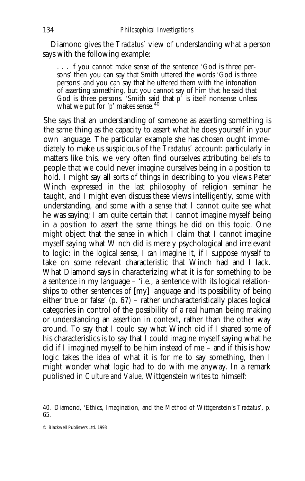Diamond gives the *Tractatus'* view of understanding what a person says with the following example:

. . . if you cannot make sense of the sentence 'God is three persons' then you can say that Smith uttered the words 'God is three persons' and you can say that he uttered them with the intonation of asserting something, but you cannot say of him that he said that God is three persons. 'Smith said that  $p'$  is itself nonsense unless what we put for 'p' makes sense.<sup>40</sup>

She says that an understanding of someone as asserting something is the same thing as the capacity to assert what he does yourself in your own language. The particular example she has chosen ought immediately to make us suspicious of the *Tractatus'* account: particularly in matters like this, we very often find ourselves attributing beliefs to people that we could never imagine ourselves being in a position to hold. I might say all sorts of things in describing to you views Peter Winch expressed in the last philosophy of religion seminar he taught, and I might even discuss these views intelligently, some with understanding, and some with a sense that I cannot quite see what he was saying; I am quite certain that I cannot imagine myself being in a position to assert the same things he did on this topic. One might object that the sense in which I claim that I cannot imagine myself saying what Winch did is merely psychological and irrelevant to logic: in the logical sense, I *can* imagine it, if I suppose myself to take on some relevant characteristic that Winch had and I lack. What Diamond says in characterizing what it is for something to be a sentence in my language – 'i.e., a sentence with its logical relationships to other sentences of [my] language and its possibility of being either true or false' (p. 67) – rather uncharacteristically places logical categories in control of the possibility of a real human being making or understanding an assertion in context, rather than the other way around. To say that I could say what Winch did if I shared some of his characteristics is to say that I could imagine myself saying what he did if I imagined myself to be him instead of me – and if this is how logic takes the idea of what it is for *me* to say something, then I might wonder what logic had to do with me anyway. In a remark published in *Culture and Value*, Wittgenstein writes to himself:

<sup>40.</sup> Diamond, 'Ethics, Imagination, and the Method of Wittgenstein's *Tractatus*', p. 65.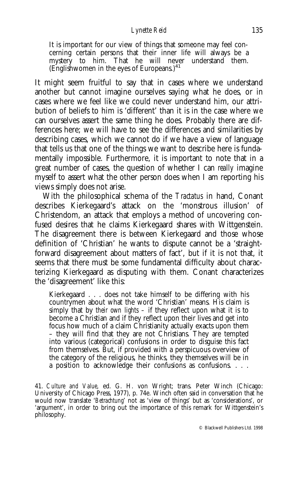It is important for our view of things that someone may feel concerning certain persons that their inner life will always be a mystery to him. That he will never understand them. (Englishwomen in the eyes of Europeans.) $41$ 

It might seem fruitful to say that in cases where we understand another but cannot imagine ourselves saying what he does, or in cases where we feel like we could never understand him, our attribution of beliefs to him is 'different' than it is in the case where we can ourselves assert the same thing he does. Probably there are differences here; we will have to see the differences and similarities by describing cases, which we cannot do if we have a view of language that tells us that one of the things we want to describe here is fundamentally impossible. Furthermore, it is important to note that in a great number of cases, the question of whether I can *really* imagine myself to assert what the other person does when I am reporting his views simply does not arise.

With the philosophical schema of the *Tractatus* in hand, Conant describes Kierkegaard's attack on the 'monstrous illusion' of Christendom, an attack that employs a method of uncovering confused desires that he claims Kierkegaard shares with Wittgenstein. The disagreement there is between Kierkegaard and those whose definition of 'Christian' he wants to dispute cannot be a 'straightforward disagreement about matters of fact', but if it is not that, it seems that there must be some fundamental difficulty about characterizing Kierkegaard as disputing with them. Conant characterizes the 'disagreement' like this:

Kierkegaard . . . does not take himself to be differing with his countrymen about what the word 'Christian' means. His claim is simply that by *their own lights –* if they reflect upon what it is to become a Christian and if they reflect upon their lives and get into focus how much of a claim Christianity actually exacts upon them – they will find that they are not Christians. They are tempted into various (categorical) confusions in order to disguise this fact from themselves. But, if provided with a perspicuous overview of the category of the religious, he thinks, they themselves will be in a position to acknowledge their confusions as confusions. . . .

41. *Culture and Value*, ed. G. H. von Wright; trans. Peter Winch (Chicago: University of Chicago Press, 1977), p. 74e. Winch often said in conversation that he would now translate '*Betrachtung*' not as 'view of things' but as 'considerations', or 'argument', in order to bring out the importance of this remark for Wittgenstein's philosophy.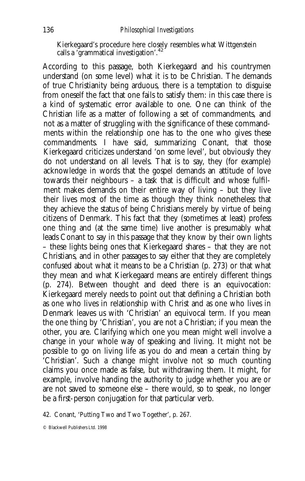Kierkegaard's procedure here closely resembles what Wittgenstein calls a 'grammatical investigation'.<sup>42</sup>

According to this passage, both Kierkegaard and his countrymen understand (on some level) what it is to be Christian. The demands of true Christianity being arduous, there is a temptation to disguise from oneself the fact that one fails to satisfy them: in this case there is a kind of systematic error available to one. One can think of the Christian life as a matter of following a set of commandments, and not as a matter of struggling with the significance of these commandments within the relationship one has to the one who gives these commandments. I have said, summarizing Conant, that those Kierkegaard criticizes understand 'on some level', but obviously they do not understand on all levels. That is to say, they (for example) acknowledge in words that the gospel demands an attitude of love towards their neighbours – a task that is difficult and whose fulfilment makes demands on their entire way of living – but they live their lives most of the time as though they think nonetheless that they achieve the status of being Christians merely by virtue of being citizens of Denmark. This fact that they (sometimes at least) profess one thing and (at the same time) live another is presumably what leads Conant to say in this passage that they know by their own lights – these lights being ones that Kierkegaard shares – that they are not Christians, and in other passages to say either that they are completely confused about what it means to be a Christian (p. 273) or that what they mean and what Kierkegaard means are entirely different things (p. 274). Between thought and deed there is an equivocation: Kierkegaard merely needs to point out that defining a Christian both as one who lives in relationship with Christ and as one who lives in Denmark leaves us with 'Christian' an equivocal term. If you mean the one thing by 'Christian', you are not a Christian; if you mean the other, you are. Clarifying which one you mean might well involve a change in your whole way of speaking and living. It might not be possible to go on living life as you do and mean a certain thing by 'Christian'. Such a change might involve not so much counting claims you once made as false, but withdrawing them. It might, for example, involve handing the authority to judge whether you are or are not saved to someone else – there would, so to speak, no longer be a first-person conjugation for that particular verb.

42. Conant, 'Putting Two and Two Together', p. 267.

<sup>©</sup> Blackwell Publishers Ltd. 1998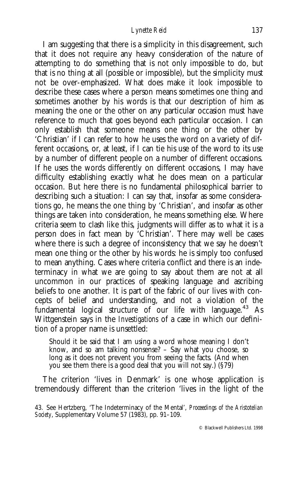I am suggesting that there is a simplicity in this disagreement, such that it does not require any heavy consideration of the nature of attempting to do something that is not only impossible to do, but that is no thing at all (possible or impossible), but the simplicity must not be over-emphasized. What does make it look impossible to describe these cases where a person means sometimes one thing and sometimes another by his words is that our description of him as meaning the one or the other on any particular occasion must have reference to much that goes beyond each particular occasion. I can only establish that someone means one thing or the other by 'Christian' if I can refer to how he uses the word on a variety of different occasions, or, at least, if I can tie his use of the word to its use by a number of different people on a number of different occasions. If he uses the words differently on different occasions, I may have difficulty establishing exactly what he does mean on a particular occasion. But here there is no fundamental philosophical barrier to describing such a situation: I can say that, insofar as some considerations go, he means the one thing by 'Christian', and insofar as other things are taken into consideration, he means something else. Where criteria seem to clash like this, judgments will differ as to what it is a person does in fact mean by 'Christian'. There may well be cases where there is such a degree of inconsistency that we say he doesn't mean one thing or the other by his words: he is simply too confused to mean anything. Cases where criteria conflict and there is an indeterminacy in what we are going to say about them are not at all uncommon in our practices of speaking language and ascribing beliefs to one another. It is part of the fabric of our lives with concepts of belief and understanding, and not a violation of the fundamental logical structure of our life with language.<sup>43</sup> As Wittgenstein says in the *Investigations* of a case in which our definition of a proper name is unsettled:

Should it be said that I am using a word whose meaning I don't know, and so am talking nonsense? – Say what you choose, so long as it does not prevent you from seeing the facts. (And when you see them there is a good deal that you will not say.) (§79)

The criterion 'lives in Denmark' is one whose application is tremendously different than the criterion 'lives in the light of the

<sup>43.</sup> See Hertzberg, 'The Indeterminacy of the Mental', *Proceedings of the Aristotelian Society*, Supplementary Volume 57 (1983), pp. 91–109.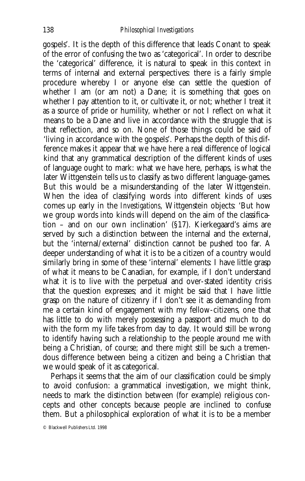gospels'. It is the depth of this difference that leads Conant to speak of the error of confusing the two as 'categorical'. In order to describe the 'categorical' difference, it is natural to speak in this context in terms of internal and external perspectives: there is a fairly simple procedure whereby I or anyone else can settle the question of whether I am (or am not) a Dane; it is something that goes on whether I pay attention to it, or cultivate it, or not; whether I treat it as a source of pride or humility, whether or not I reflect on what it means to be a Dane and live in accordance with the struggle that is that reflection, and so on. None of those things could be said of 'living in accordance with the gospels'. Perhaps the depth of this difference makes it appear that we have here a real difference of logical kind that any grammatical description of the different kinds of uses of language ought to mark: what we have here, perhaps, is what the later Wittgenstein tells us to classify as two different language-games. But this would be a misunderstanding of the later Wittgenstein. When the idea of classifying words into different kinds of uses comes up early in the *Investigations*, Wittgenstein objects: 'But how we group words into kinds will depend on the aim of the classification – and on our own inclination' (§17). Kierkegaard's aims are served by such a distinction between the internal and the external, but the 'internal/external' distinction cannot be pushed too far. A deeper understanding of what it is to be a citizen of a country would similarly bring in some of these 'internal' elements: I have little grasp of what it means to be Canadian, for example, if I don't understand what it is to live with the perpetual and over-stated identity crisis that the question expresses; and it might be said that I have little grasp on the nature of citizenry if I don't see it as demanding from me a certain kind of engagement with my fellow-citizens, one that has little to do with merely possessing a passport and much to do with the form my life takes from day to day. It would still be wrong to identify having such a relationship to the people around me with being a Christian, of course; and there *might* still be such a tremendous difference between being a citizen and being a Christian that we would speak of it as categorical.

Perhaps it seems that the aim of our classification could be simply to avoid confusion: a grammatical investigation, we might think, needs to mark the distinction between (for example) religious concepts and other concepts because people are inclined to confuse them. But a philosophical exploration of what it is to be a member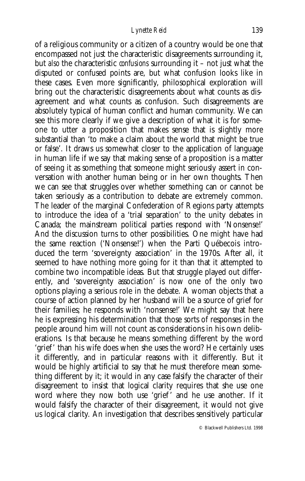of a religious community or a citizen of a country would be one that encompassed not just the characteristic disagreements surrounding it, but *also* the characteristic *confusions* surrounding it – not just what the disputed or confused points are, but what confusion looks like in these cases. Even more significantly, philosophical exploration will bring out the characteristic disagreements about what counts as disagreement and what counts as confusion. Such disagreements are absolutely typical of human conflict and human community. We can see this more clearly if we give a description of what it is for someone to utter a proposition that makes sense that is slightly more substantial than 'to make a claim about the world that might be true or false'. It draws us somewhat closer to the application of language in human life if we say that making sense of a proposition is a matter of seeing it as something that someone might seriously assert in conversation with another human being or in her own thoughts. Then we can see that struggles over whether something can or cannot be taken seriously as a contribution to debate are extremely common. The leader of the marginal Confederation of Regions party attempts to introduce the idea of a 'trial separation' to the unity debates in Canada; the mainstream political parties respond with 'Nonsense!' And the discussion turns to other possibilities. One might have had the same reaction ('Nonsense!') when the Parti Québecois introduced the term 'sovereignty association' in the 1970s. After all, it seemed to have nothing more going for it than that it attempted to combine two incompatible ideas. But that struggle played out differently, and 'sovereignty association' is now one of the only two options playing a serious role in the debate. A woman objects that a course of action planned by her husband will be a source of grief for their families; he responds with 'nonsense!' We might say that here he is expressing his determination that those sorts of responses in the people around him will not count as considerations in his own deliberations. Is that because he means something different by the word 'grief' than his wife does when she uses the word? He certainly uses it differently, and in particular reasons with it differently. But it would be highly artificial to say that he must therefore mean something different by it; it would in any case falsify the character of their disagreement to insist that logical clarity requires that she use one word where they now both use 'grief ' and he use another. If it would falsify the character of their disagreement, it would not give us logical clarity. An investigation that describes sensitively particular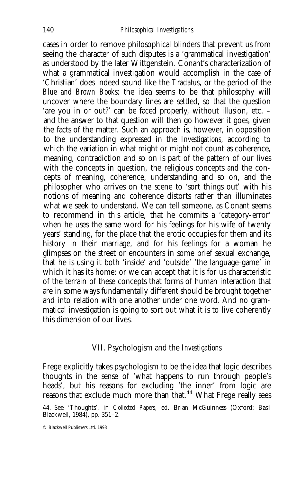cases in order to remove philosophical blinders that prevent us from seeing the character of such disputes is a 'grammatical investigation' as understood by the later Wittgenstein. Conant's characterization of what a grammatical investigation would accomplish in the case of 'Christian' does indeed sound like the *Tractatus*, or the period of the *Blue and Brown Books*: the idea seems to be that philosophy will uncover where the boundary lines are settled, so that the question 'are you in or out?' can be faced properly, without illusion, etc. – and the answer to that question will then go however it goes, given the facts of the matter. Such an approach is, however, in opposition to the understanding expressed in the *Investigations*, according to which the variation in what might or might not count as coherence, meaning, contradiction and so on is part of the pattern of our lives with the concepts in question, the religious concepts *and* the concepts of meaning, coherence, understanding and so on, and the philosopher who arrives on the scene to 'sort things out' with his notions of meaning and coherence distorts rather than illuminates what we seek to understand. We can tell someone, as Conant seems to recommend in this article, that he commits a 'category-error' when he uses the same word for his feelings for his wife of twenty years' standing, for the place that the erotic occupies for them and its history in their marriage, and for his feelings for a woman he glimpses on the street or encounters in some brief sexual exchange, that he is using it both 'inside' and 'outside' 'the language-game' in which it has its home: or we can accept that it *is* for us characteristic of the terrain of these concepts that forms of human interaction that are in some ways fundamentally different should be brought together and into relation with one another under one word. And no grammatical investigation is going to sort out what it is to live coherently this dimension of our lives.

### VII. Psychologism and the *Investigations*

Frege explicitly takes psychologism to be the idea that logic describes thoughts in the sense of 'what happens to run through people's heads', but his reasons for excluding 'the inner' from logic are reasons that exclude much more than that.<sup>44</sup> What Frege really sees

44. See 'Thoughts', in *Collected Papers*, ed. Brian McGuinness (Oxford: Basil Blackwell, 1984), pp. 351–2.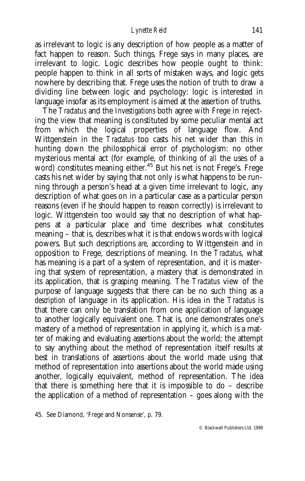as irrelevant to logic is any description of how people as a matter of fact happen to reason. Such things, Frege says in many places, are irrelevant to logic. Logic describes how people ought to think: people happen to think in all sorts of mistaken ways, and logic gets nowhere by describing that. Frege uses the notion of truth to draw a dividing line between logic and psychology: logic is interested in language insofar as its employment is aimed at the assertion of truths.

The *Tractatus* and the *Investigations* both agree with Frege in rejecting the view that meaning is constituted by some peculiar mental act from which the logical properties of language flow. And Wittgenstein in the *Tractatus* too casts his net wider than this in hunting down the philosophical error of psychologism: no other mysterious mental act (for example, of thinking of *all* the uses of a word) constitutes meaning either.<sup>45</sup> But his net is not Frege's. Frege casts his net wider by saying that not only is what happens to be running through a person's head at a given time irrelevant to logic, any description of what goes on in a particular case as a particular person reasons (even if he should happen to reason correctly) is irrelevant to logic. Wittgenstein too would say that no description of what happens at a particular place and time describes what constitutes meaning – that is, describes what it is that endows words with logical powers. But such descriptions *are*, according to Wittgenstein and in opposition to Frege, descriptions of meaning. In the *Tractatus*, what has meaning is a part of a system of representation, and it is mastering that system of representation, a mastery that is demonstrated in its application, that is grasping meaning. The *Tractatus* view of the purpose of language suggests that there can be no such thing as a *description* of language in its application. His idea in the *Tractatus* is that there can only be translation from one application of language to another logically equivalent one. That is, one demonstrates one's mastery of a method of representation in applying it, which is a matter of making and evaluating assertions about the world; the attempt to say anything about the method of representation itself results at best in translations of assertions about the world made using that method of representation into assertions about the world made using another, logically equivalent, method of representation. The idea that there is something here that it is impossible to do – describe the application of a method of representation – goes along with the

<sup>45.</sup> See Diamond, 'Frege and Nonsense', p. 79.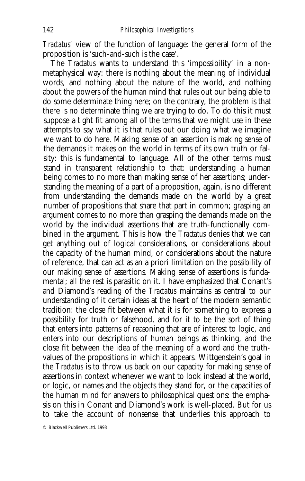*Tractatus'* view of the function of language: the general form of the proposition is 'such-and-such is the case'.

The *Tractatus* wants to understand this 'impossibility' in a nonmetaphysical way: there is nothing about the meaning of individual words, and nothing about the nature of the world, and nothing about the powers of the human mind that rules out our being able to do some determinate thing here; on the contrary, the problem is that there is no determinate thing we are trying to do. To do this it must suppose a tight fit among all of the terms that we might use in these attempts to say what it is that rules out our doing what we imagine we want to do here. Making sense of an assertion is making sense of the demands it makes on the world in terms of its own truth or falsity: this is fundamental to language. All of the other terms must stand in transparent relationship to that: understanding a human being comes to no more than making sense of her assertions; understanding the meaning of a part of a proposition, again, is no different from understanding the demands made on the world by a great number of propositions that share that part in common; grasping an argument comes to no more than grasping the demands made on the world by the individual assertions that are truth-functionally combined in the argument. This is how the *Tractatus* denies that we can get anything out of logical considerations, or considerations about the capacity of the human mind, or considerations about the nature of reference, that can act as an a priori limitation on the possibility of our making sense of assertions. Making sense of assertions is fundamental; all the rest is parasitic on it. I have emphasized that Conant's and Diamond's reading of the *Tractatus* maintains as central to our understanding of it certain ideas at the heart of the modern semantic tradition: the close fit between what it is for something to express a possibility for truth or falsehood, and for it to be the sort of thing that enters into patterns of reasoning that are of interest to logic, and enters into our descriptions of human beings as thinking, and the close fit between the idea of the meaning of a word and the truthvalues of the propositions in which it appears. Wittgenstein's goal in the *Tractatus* is to throw us back on our capacity for making sense of assertions in context whenever we want to look instead at the world, or logic, or names and the objects they stand for, or the capacities of the human mind for answers to philosophical questions: the emphasis on this in Conant and Diamond's work is well-placed. But for us to take the account of nonsense that underlies this approach to

<sup>©</sup> Blackwell Publishers Ltd. 1998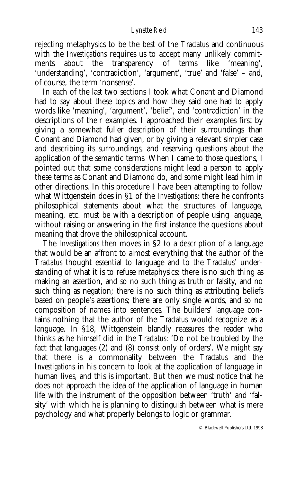rejecting metaphysics to be the best of the *Tractatus* and continuous with the *Investigations* requires us to accept many unlikely commitments about the transparency of terms like 'meaning', 'understanding', 'contradiction', 'argument', 'true' and 'false' – and, of course, the term 'nonsense'.

In each of the last two sections I took what Conant and Diamond had to say about these topics and how they said one had to apply words like 'meaning', 'argument', 'belief', and 'contradiction' in the descriptions of their examples. I approached their examples first by giving a somewhat fuller description of their surroundings than Conant and Diamond had given, or by giving a relevant simpler case and describing its surroundings, and reserving questions about the application of the semantic terms. When I came to those questions, I pointed out that some considerations might lead a person to apply these terms as Conant and Diamond do, and some might lead him in other directions. In this procedure I have been attempting to follow what Wittgenstein does in §1 of the *Investigations*: there he confronts philosophical statements about what the structures of language, meaning, etc. must be with a description of people using language, without raising or answering in the first instance the questions about meaning that drove the philosophical account.

The *Investigations* then moves in §2 to a description of a language that would be an affront to almost everything that the author of the *Tractatus* thought essential to language and to the *Tractatus'* understanding of what it is to refuse metaphysics: there is no such thing as making an assertion, and so no such thing as truth or falsity, and no such thing as negation; there is no such thing as attributing beliefs based on people's assertions; there are only single words, and so no composition of names into sentences. The builders' language contains nothing that the author of the *Tractatus* would recognize as a language. In §18, Wittgenstein blandly reassures the reader who thinks as he himself did in the *Tractatus*: 'Do not be troubled by the fact that languages (2) and (8) consist only of orders'. We might say that there is a commonality between the *Tractatus* and the *Investigations* in his concern to look at the application of language in human lives, and this is important. But then we must notice that he does not approach the idea of the application of language in human life with the instrument of the opposition between 'truth' and 'falsity' with which he is planning to distinguish between what is mere psychology and what properly belongs to logic or grammar.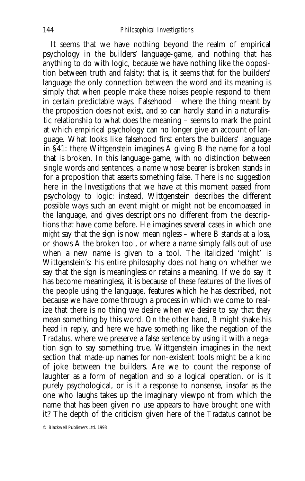It seems that we have nothing beyond the realm of empirical psychology in the builders' language-game, and nothing that has anything to do with logic, because we have nothing like the opposition between truth and falsity: that is, it seems that for the builders' language the only connection between the word and its meaning is simply that when people make these noises people respond to them in certain predictable ways. Falsehood – where the thing meant by the proposition does not exist, and so can hardly stand in a naturalistic relationship to what does the meaning – seems to mark the point at which empirical psychology can no longer give an account of language. What looks like falsehood first enters the builders' language in §41: there Wittgenstein imagines A giving B the name for a tool that is broken. In this language-game, with no distinction between single words and sentences, a name whose bearer is broken stands in for a proposition that asserts something false. There is no suggestion here in the *Investigations* that we have at this moment passed from psychology to logic: instead, Wittgenstein describes the different possible ways such an event might or might not be encompassed in the language, and gives descriptions no different from the descriptions that have come before. He imagines several cases in which one *might* say that the sign is now meaningless – where B stands at a loss, or shows A the broken tool, or where a name simply falls out of use when a new name is given to a tool. The italicized 'might' is Wittgenstein's: his entire philosophy does not hang on whether we say that the sign is meaningless or retains a meaning. If we do say it has become meaningless, it is because of these features of the lives of the people using the language, features which he has described, not because we have come through a process in which we come to realize that there is no thing we desire when we desire to say that they mean something by this word. On the other hand, B might shake his head in reply, and here we have something like the negation of the *Tractatus*, where we preserve a false sentence by using it with a negation sign to say something true. Wittgenstein imagines in the next section that made-up names for non-existent tools might be a kind of joke between the builders. Are we to count the response of laughter as a form of negation and so a logical operation, or is it purely psychological, or is it a response to nonsense, insofar as the one who laughs takes up the imaginary viewpoint from which the name that has been given no use appears to have brought one with it? The depth of the criticism given here of the *Tractatus* cannot be

<sup>©</sup> Blackwell Publishers Ltd. 1998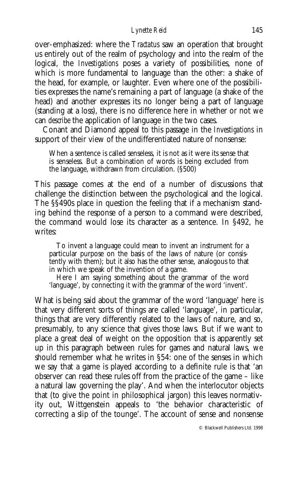over-emphasized: where the *Tractatus* saw an operation that brought us entirely out of the realm of psychology and into the realm of the logical, the *Investigations* poses a variety of possibilities, none of which is more fundamental to language than the other: a shake of the head, for example, or laughter. Even where one of the possibilities expresses the name's remaining a part of language (a shake of the head) and another expresses its no longer being a part of language (standing at a loss), there is no difference here in whether or not we can *describe* the application of language in the two cases.

Conant and Diamond appeal to this passage in the *Investigations* in support of their view of the undifferentiated nature of nonsense:

When a sentence is called senseless, it is not as it were its sense that is senseless. But a combination of words is being excluded from the language, withdrawn from circulation. (§500)

This passage comes at the end of a number of discussions that challenge the distinction between the psychological and the logical. The §§490s place in question the feeling that if a mechanism standing behind the response of a person to a command were described, the command would lose its character as a sentence. In §492, he writes:

To invent a language could mean to invent an instrument for a particular purpose on the basis of the laws of nature (or consistently with them); but it also has the other sense, analogous to that in which we speak of the invention of a game.

Here I am saying something about the grammar of the word 'language', by connecting it with the grammar of the word 'invent'.

What is being said about the grammar of the word 'language' here is that very different sorts of things are called 'language', in particular, things that are very differently related to the laws of nature, and so, presumably, to any science that gives those laws. But if we want to place a great deal of weight on the opposition that is apparently set up in this paragraph between rules for games and natural laws, we should remember what he writes in §54: one of the senses in which we say that a game is played according to a definite rule is that 'an observer can read these rules off from the practice of the game – like a natural law governing the play'. And when the interlocutor objects that (to give the point in philosophical jargon) this leaves normativity out, Wittgenstein appeals to 'the behavior characteristic of correcting a slip of the tounge'. The account of sense and nonsense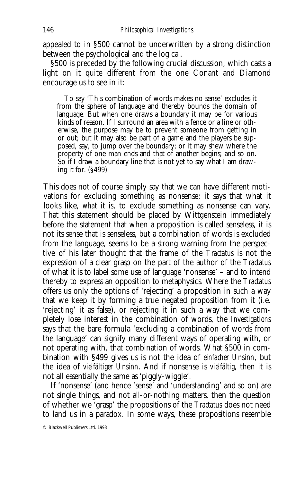appealed to in §500 cannot be underwritten by a strong distinction between the psychological and the logical.

§500 is preceded by the following crucial discussion, which casts a light on it quite different from the one Conant and Diamond encourage us to see in it:

To say 'This combination of words makes no sense' excludes it from the sphere of language and thereby bounds the domain of language. But when one draws a boundary it may be for various kinds of reason. If I surround an area with a fence or a line or otherwise, the purpose may be to prevent someone from getting in or out; but it may also be part of a game and the players be supposed, say, to jump over the boundary; or it may shew where the property of one man ends and that of another begins; and so on. So if I draw a boundary line that is not yet to say what I am drawing it for. (§499)

This does not of course simply say that we can have different motivations for excluding something as nonsense; it says that what it looks like, *what it is*, to exclude something as nonsense can vary. That this statement should be placed by Wittgenstein immediately before the statement that when a proposition is called senseless, it is not its sense that is senseless, but a combination of words is excluded from the language, seems to be a strong warning from the perspective of his later thought that the frame of the *Tractatus* is not the expression of a clear grasp on the part of the author of the *Tractatus* of what it is to label some use of language 'nonsense' – and to intend thereby to express an opposition to metaphysics. Where the *Tractatus* offers us only the options of 'rejecting' a proposition in such a way that we keep it by forming a true negated proposition from it (i.e. 'rejecting' it as false), or rejecting it in such a way that we completely lose interest in the combination of words, the *Investigations* says that the bare formula 'excluding a combination of words from the language' can signify many different ways of operating with, or not operating with, that combination of words. What §500 in combination with §499 gives us is not the idea of *einfacher Unsinn*, but the idea of *vielfältiger Unsinn*. And if nonsense is *vielfältig*, then it is not all essentially the same as 'piggly-wiggle'.

If 'nonsense' (and hence 'sense' and 'understanding' and so on) are not single things, and not all-or-nothing matters, then the question of whether we 'grasp' the propositions of the *Tractatus* does not need to land us in a paradox. In some ways, these propositions resemble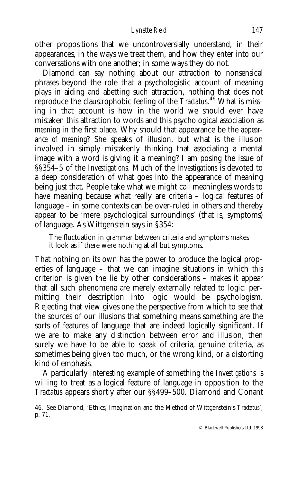other propositions that we uncontroversially understand, in their appearances, in the ways we treat them, and how they enter into our conversations with one another; in some ways they do not.

Diamond can say nothing about our attraction to nonsensical phrases beyond the role that a psychologistic account of meaning plays in aiding and abetting such attraction, nothing that does not reproduce the claustrophobic feeling of the *Tractatus*. <sup>46</sup> What is missing in that account is how in the world we should ever have mistaken this attraction to words and this psychological association as *meaning* in the first place. Why should that appearance be the *appearance of meaning*? She speaks of illusion, but what is the illusion involved in simply mistakenly thinking that associating a mental image with a word is giving it a meaning? I am posing the issue of §§354–5 of the *Investigations*. Much of the *Investigations* is devoted to a deep consideration of what goes into the appearance of meaning being just that. People take what we might call meaningless words to have meaning because what really are criteria – logical features of language – in some contexts can be over-ruled in others and thereby appear to be 'mere psychological surroundings' (that is, symptoms) of language. As Wittgenstein says in §354:

The fluctuation in grammar between criteria and symptoms makes it look as if there were nothing at all but symptoms.

That nothing on its own has the power to produce the logical properties of language – that we can imagine situations in which *this* criterion is given the lie by other considerations – makes it appear that all such phenomena are merely externally related to logic: permitting their description into logic would be psychologism. Rejecting that view gives one the perspective from which to see that the sources of our illusions that something means something are the sorts of features of language that are indeed logically significant. If we are to make any distinction between error and illusion, then surely we have to be able to speak of criteria, genuine criteria, as sometimes being given too much, or the wrong kind, or a distorting kind of emphasis.

A particularly interesting example of something the *Investigations* is willing to treat as a logical feature of language in opposition to the *Tractatus* appears shortly after our §§499–500. Diamond and Conant

46. See Diamond, 'Ethics, Imagination and the Method of Wittgenstein's *Tractatus*', p. 71.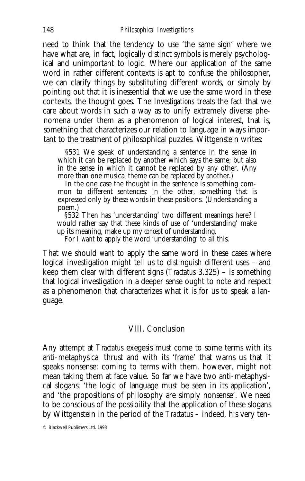need to think that the tendency to use 'the same sign' where we have what are, in fact, logically distinct symbols is merely psychological and unimportant to logic. Where our application of the same word in rather different contexts is apt to confuse the philosopher, we can clarify things by substituting different words, or simply by pointing out that it is inessential that we use the same word in these contexts, the thought goes. The *Investigations* treats the fact that we care about words in such a way as to unify extremely diverse phenomena under them as a phenomenon of logical interest, that is, something that characterizes our relation to language in ways important to the treatment of philosophical puzzles. Wittgenstein writes:

§531 We speak of understanding a sentence in the sense in which it can be replaced by another which says the same; but also in the sense in which it cannot be replaced by any other. (Any more than one musical theme can be replaced by another.)

In the one case the thought in the sentence is something common to different sentences; in the other, something that is expressed only by these words in these positions. (Understanding a poem.)

§532 Then has 'understanding' two different meanings here? I would rather say that these kinds of use of 'understanding' make up its meaning, make up my *concept* of understanding.

For I *want* to apply the word 'understanding' to all this.

That we should *want* to apply the same word in these cases where logical investigation might tell us to distinguish different uses – and keep them clear with different signs (*Tractatus* 3.325) – is something that logical investigation in a deeper sense ought to note and respect as a phenomenon that characterizes what it is for us to speak a language.

#### VIII. Conclusion

Any attempt at *Tractatus* exegesis must come to some terms with its anti-metaphysical thrust and with its 'frame' that warns us that it speaks nonsense: coming to terms with them, however, might not mean taking them at face value. So far we have two anti-metaphysical slogans: 'the logic of language must be seen in its application', and 'the propositions of philosophy are simply nonsense'. We need to be conscious of the possibility that the application of these slogans by Wittgenstein in the period of the *Tractatus –* indeed, his very ten-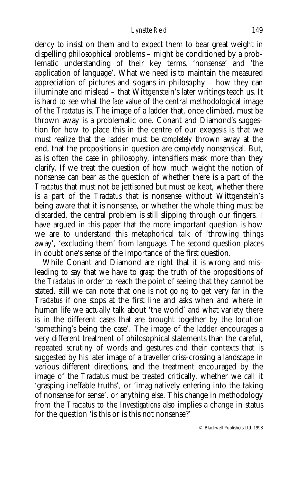dency to insist on them and to expect them to bear great weight in dispelling philosophical problems – might be conditioned by a problematic understanding of their key terms, 'nonsense' and 'the application of language'. What we need is to maintain the measured appreciation of pictures and slogans in philosophy – how they can illuminate and mislead – that Wittgenstein's later writings teach us. It is hard to see what the *face value* of the central methodological image of the *Tractatus* is. The image of a ladder that, once climbed, must be thrown away is a problematic one. Conant and Diamond's suggestion for how to place this in the centre of our exegesis is that we must realize that the ladder must be *completely* thrown away at the end, that the propositions in question are *completely* nonsensical. But, as is often the case in philosophy, intensifiers mask more than they clarify. If we treat the question of how much weight the notion of nonsense can bear as the question of whether there is a part of the *Tractatus* that must not be jettisoned but must be kept, whether there is a part of the *Tractatus* that is nonsense without Wittgenstein's being aware that it is nonsense, or whether the whole thing must be discarded, the central problem is still slipping through our fingers. I have argued in this paper that the more important question is how we are to understand this metaphorical talk of 'throwing things away', 'excluding them' from language. The second question places in doubt one's sense of the importance of the first question.

While Conant and Diamond are right that it is wrong and misleading to say that we have to *grasp* the truth of the propositions of the *Tractatus* in order to reach the point of seeing that they cannot be stated, still we can note that one is not going to get very far in the *Tractatus* if one stops at the first line and asks when and where in human life we actually talk about 'the world' and what variety there is in the different cases that are brought together by the locution 'something's being the case'. The image of the ladder encourages a very different treatment of philosophical statements than the careful, repeated scrutiny of words and gestures and their contexts that is suggested by his later image of a traveller criss-crossing a landscape in various different directions, and the treatment encouraged by the image of the *Tractatus* must be treated critically, whether we call it 'grasping ineffable truths', or 'imaginatively entering into the taking of nonsense for sense', or anything else. This change in methodology from the *Tractatus* to the *Investigations* also implies a change in status for the question 'is this or is this not nonsense?'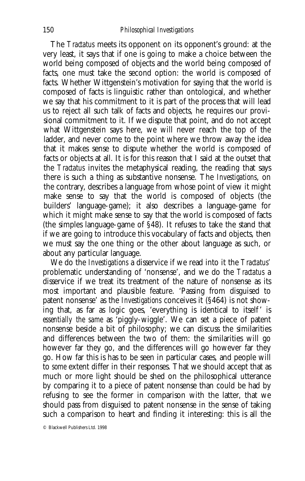The *Tractatus* meets its opponent on its opponent's ground: at the very least, it says that if one is going to make a choice between the world being composed of objects and the world being composed of facts, one must take the second option: the world is composed of facts. Whether Wittgenstein's motivation for saying that the world is composed of facts is linguistic rather than ontological, and whether we say that his commitment to it is part of the process that will lead us to reject all such talk of facts and objects, he requires our provisional commitment to it. If we dispute that point, and do not accept what Wittgenstein says here, we will never reach the top of the ladder, and never come to the point where we throw away the idea that it makes sense to dispute whether the world is composed of facts or objects at all. It is for this reason that I said at the outset that the *Tractatus* invites the metaphysical reading, the reading that says there is such a thing as substantive nonsense. The *Investigations*, on the contrary, describes a language from whose point of view it might make sense to say that the world is composed of objects (the builders' language-game); it also describes a language-game for which it might make sense to say that the world is composed of facts (the simples language-game of §48). It refuses to take the stand that if we are going to introduce this vocabulary of facts and objects, then we must say the one thing or the other about language as such, or about any particular language.

We do the *Investigations* a disservice if we read into it the *Tractatus'* problematic understanding of 'nonsense', and we do the *Tractatus* a disservice if we treat its treatment of the nature of nonsense as its most important and plausible feature. 'Passing from disguised to patent nonsense' as the *Investigations* conceives it (§464) is not showing that, as far as logic goes, 'everything is identical to itself ' is *essentially the same* as 'piggly-wiggle'. We can set a piece of patent nonsense beside a bit of philosophy; we can discuss the similarities and differences between the two of them: the similarities will go however far they go, and the differences will go however far they go. How far this is has to be seen in particular cases, and people will to *some* extent differ in their responses. That we should accept that as much or more light should be shed on the philosophical utterance by comparing it to a piece of patent nonsense than could be had by refusing to see the former in comparison with the latter, that we should pass from disguised to patent nonsense in the sense of taking such a comparison to heart and finding it interesting: this is all the